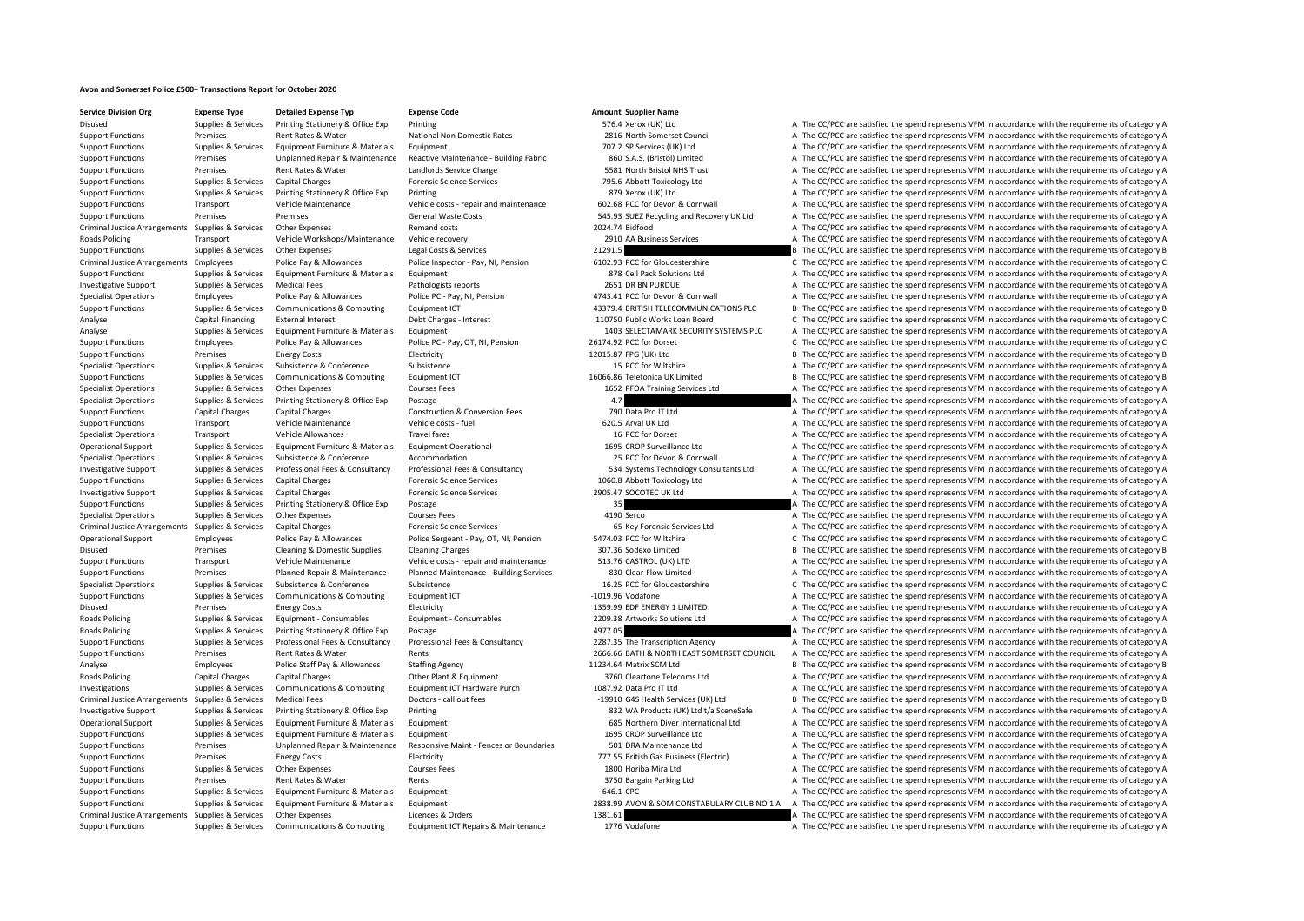## **Avon and Somerset Police £500+ Transactions Report for October 2020**

**Service Division Org Expense Type Detailed Expense Typ Expense Code Amount Supplier Name**

Disused Supplies Services Printing Stationery & Office Exp Printing Stationery & Office Exp Printing 576.4 Xerox (UK) Ltd A The CC/PCC are satisfied the spend represents VFM in accordance with the requirements of category Support Functions Premises Rent Rates Rent Rates National Non Domestic Rates 2816 North Somerset Council A The CC/PCC are satisfied the spend represents VFM in accordance with the requirements of category A Support Functions Supplies & Services Equipment Furniture & Materials Equipment Turniture and The Materials Equipment 707.2 SP Services (UK) Ltd A The CC/PCC are satisfied the spend represents VFM in accordance with the re Support Functions Premises Unplanned Repair & Maintenance Reactive Maintenance - Building Fabric 860 S.A.S. (Bristol) Limited A The CC/PCC are satisfied the spend represents VFM in accordance with the requirements of categ Support Functions Premises Rent Rates & Water Landlords Service Charge 5581 North Bristol NHS Trust A The CC/PCC are satisfied the spend represents VFM in accordance with the requirements of category A Support Functions Supplies & Services Capital Charges Forensic Science Services 795.6 Abbott Toxicology Ltd A The CC/PCC are satisfied the spend represents VFM in accordance with the requirements of category A Support Functions Supplies & Services Printing Stationery & Office Exp Printing Stationery & Office Exp Printing 879 Xerox (UK) Ltd A The CC/PCC are satisfied the spend represents VFM in accordance with the requirements of Support Functions Transport Vehicle Maintenance Vehicle costs - repair and maintenance 602.68 PCC for Devon & Cornwall A The CC/PCC are satisfied the spend represents VFM in accordance with the requirements of category A Support Functions Premises Premises Premises Seneral Waste Costs 545.93 SUEZ Recycling and Recovery UK Ltd A The CC/PCC are satisfied the spend represents VFM in accordance with the requirements of category A Criminal Justice Arrangements Supplies & Services Other Expenses Remand costs 2024.74 Bidfood 2024.74 Bidfood A The CC/PCC are satisfied the spend represents VFM in accordance with the requirements of category A Roads Policing Transport Vehicle Workshops/Maintenance Vehicle recovery 2910 AA Business Services A The CC/PCC are satisfied the spend represents VFM in accordance with the requirements of category A Support Functions Supplies & Services Other Expenses Legal Costs & Services 21291.5 B The CC/PCC are satisfied the spend represents VFM in accordance with the requirements of category B Criminal Justice Arrangements Employees Police Pay & Allowances Police Inspector - Pay, NI, Pension 6102.93 PCC for Gloucestershire Criminal Justice Arrangements CFM in accordance with the requirements of category C Support Functions Supplies & Services Equipment Furniture & Materials Equipment and A The CC/PCC are satisfied the spend represents VFM in accordance with the requirements of category A Investigative Support Supplies & Services Medical Fees Pathologists reports Pathologists reports 2651 DR BN PURDUE A The CC/PCC are satisfied the spend represents VFM in accordance with the requirements of category A Specialist Operations Employees Police Pay & Allowances Police PC - Pay, NI, Pension 4743.41 PCC for Devon & Cornwall A The CC/PCC are satisfied the spend represents VFM in accordance with the requirements of category A Support Functions Supplies & Services Communications & Computing Foulpment ICT 43379.4 BRITISH TELECOMMUNICATIONS PLC B The CC/PCC are satisfied the spend represents VFM in accordance with the requirements of category B Analyse Capital Financing External Interest Debt Charges - Interest Debt Charges - Interest 110750 Public Works Loan Board C The CC/PCC are satisfied the spend represents VFM in accordance with the requirements of category Analyse Supplies & Services Equipment Furniture & Materials Equipment 1403 SELECTAMARK SECURITY SYSTEMS PLC A The CC/PCC are satisfied the spend represents VFM in accordance with the requirements of category A Support Functions Employees Police Pay & Allowances Police PC - Pay, OT, NI, Pension 26174.92 PCC for Dorset C The CC/PCC are satisfied the spend represents VFM in accordance with the requirements of category C Support Functions Premises Energy Costs Electricity Electricity Electricity 12015.87 FPG (UK) Ltd B The CC/PCC are satisfied the spend represents VFM in accordance with the requirements of category B Specialist Operations Supplies & Services Subsistence Subsistence Subsistence Subsistence Subsistence Subsistence Subsistence Subsistence Subsistence Subsistence Subsistence Subsistence Subsistence Subsistence Subsistence Support Functions Supplies & Services Communications & Computing Equipment ICT 16066.86 Telefonica UK Limited B The CC/PCC are satisfied the spend represents VFM in accordance with the requirements of category B Specialist Operations Supplies & Services Other Expenses Courses Fees Courses Fees 1652 PFOA Training Services Ltd A The CC/PCC are satisfied the spend represents VFM in accordance with the requirements of category A Specialist Operations Supplies & Services Printing Stationery & Office Exp Postage 4.7 A The CC/PCC are satisfied the spend represents VFM in accordance with the requirements of category A Support Functions Capital Charges Capital Charges Construction & Conversion Fees 790 Data Pro IT Ltd A The CC/PCC are satisfied the spend represents VFM in accordance with the requirements of category A Support Functions Transport Vehicle Maintenance Vehicle costs - fuel 620.5 Arval UK Ltd A The CC/PCC are satisfied the spend represents VFM in accordance with the requirements of category A Specialist Operations Transport Vehicle Allowances Travel fares Travel fares 16 PCC for Dorset A The CC/PCC are satisfied the spend represents VFM in accordance with the requirements of category A Operational Support Supplies & Services Equipment Furniture & Materials Equipment Operational 1695 CROP Surveillance Ltd A The CC/PCC are satisfied the spend represents VFM in accordance with the requirements of category A Specialist Operations Supplies & Services Subsistence & Conference Accommodation A The CC/PCC are satisfied the spend represents VFM in accordance with the requirements of category A Investigative Support Supplies & Services Professional Fees & Consultancy Professional Fees & Consultancy Professional Fees & Consultancy Professional Fees & Consultancy Professional Fees & Consultancy S34 Systems Technolo Support Functions Supplies & Services Capital Charges Forensic Science Services 1060.8 Abbott Toxicology Ltd A The CC/PCC are satisfied the spend represents VFM in accordance with the requirements of category A Investigative Support Supplies & Services Capital Charges Forensic Science Services 2905.47 SOCOTEC UK Ltd A The CC/PCC are satisfied the spend represents VFM in accordance with the requirements of category A Support Functions Supplies & Services Printing Stationery & Office Exp Postage 35 35 35 A The CC/PCC are satisfied the spend represents VFM in accordance with the requirements of category A Specialist Operations Supplies & Services Other Expenses Courses Fees 4190 Serco 4190 Serco A The CC/PCC are satisfied the spend represents VFM in accordance with the requirements of category A Criminal Justice Arrangements Supplies & Services Capital Charges Capital Charges Forensic Science Services Forensic Services and The Criminal Copy of The CC/PCC are satisfied the spend represents VFM in accordance with th Operational Support Employees Police Pay & Allowances Police Sergeant - Pay, OT, NI, Pension 5474.03 PCC for Wiltshire C The CC/PCC are satisfied the spend represents VFM in accordance with the requirements of category C Disused Premises Cleaning & Domestic Supplies Cleaning Charges 307.36 Sodexo Limited B The CC/PCC are satisfied the spend represents VFM in accordance with the requirements of category B Support Functions Transport Vehicle Maintenance Vehicle costs - repair and maintenance 513.76 CASTROL (UK) LTD A The CC/PCC are satisfied the spend represents VFM in accordance with the requirements of category A Support Functions Premises Planned Repair & Maintenance Planned Maintenance - Building Services 830 Clear‐Flow Limited A The CC/PCC are satisfied the spend represents VFM in accordance with the requirements of category A Specialist Operations Supplies & Services Subsistence Subsistence Subsistence Subsistence Subsistence Subsistence Subsistence C The CC/PCC are satisfied the spend represents VFM in accordance with the requirements of categ Support Functions Supplies & Services Communications & Computing Equipment ICT 400 1019.96 Vodafone A The CC/PCC are satisfied the spend represents VFM in accordance with the requirements of category A Disused Premises Energy Costs Electricity Electricity Electricity 1359.99 EDF ENERGY 1 LIMITED A The CC/PCC are satisfied the spend represents VFM in accordance with the requirements of category A Roads Policing Supplies & Services Equipment • Consumables Equipment • Consumables Equipment • Consumables 2209.38 Artworks Solutions Ltd A The CC/PCC are satisfied the spend represents VFM in accordance with the requireme Roads Policing Supplies & Services Printing Stationery & Office Exp Postage 4977.05 4977.05 A The CC/PCC are satisfied the spend represents VFM in accordance with the requirements of category A Support Functions Supplies & Services Professional Fees & Consultancy Professional Fees & Consultancy Professional Fees & Consultancy Professional Fees & Consultancy Professional Fees & Consultancy 2287.35 The Transcriptio Support Functions Premises Rent Rates & Water Rents Rents Rents 2666.66 BATH & NORTH EAST SOMERSET COUNCIL A The CC/PCC are satisfied the spend represents VFM in accordance with the requirements of category A Analyse Employees Police Staff Pay & Allowances Staffing Agency 11234.64 Matrix SCM Ltd B The CC/PCC are satisfied the spend represents VFM in accordance with the requirements of category B Roads Policing Capital Charges Capital Charges Other Plant & Equipment 3760 Cleartone Telecoms Ltd A The CC/PCC are satisfied the spend represents VFM in accordance with the requirements of category A Investigations Supplies & Services Communications & Computing Equipment ICT Hardware Purch 1087.92 Data Pro IT Ltd A The CC/PCC are satisfied the spend represents VFM in accordance with the requirements of category A Criminal Justice Arrangements Supplies & Services Medical Fees Doctors - call out fees Doctors - call out fees 20010 G4S Health Services (UK) Ltd B The CC/PCC are satisfied the spend represents VFM in accordance with the r Investigative Support Supplies & Services Printing Stationery & Office Exp Printing 832 WA Products (UK) Ltd t/a SceneSafe A The CC/PCC are satisfied the spend represents VFM in accordance with the requirements of category Operational Support Supplies & Services Equipment Furniture & Materials Equipment 685 Northern Diver International Ltd A The CC/PCC are satisfied the spend represents VFM in accordance with the requirements of category A Support Functions Supplies & Services Equipment Furniture & Materials Equipment 1695 CROP Surveillance Ltd A The CC/PCC are satisfied the spend represents VFM in accordance with the requirements of category A Support Functions Premises Unplanned Repair & Maintenance Responsive Maint - Fences or Boundaries 501 DRA Maintenance Ltd A The CC/PCC are satisfied the spend represents VFM in accordance with the requirements of category Support Functions Premises Energy Costs Functions Electricity Functions Electricity 777.55 British Gas Business (Electric) A The CC/PCC are satisfied the spend represents VFM in accordance with the requirements of category Support Functions Supplies & Services Other Expenses Courses Fees 1800 Horiba Mira Ltd A The CC/PCC are satisfied the spend represents VFM in accordance with the requirements of category A Support Functions Premises Rent Rates & Water Rents Rents Rents 3750 Bargain Parking Ltd A The CC/PCC are satisfied the spend represents VFM in accordance with the requirements of category A Support Functions Supplies & Services Equipment Furniture & Materials Equipment 646.1 CPC 646.1 CPC A The CC/PCC are satisfied the spend represents VFM in accordance with the requirements of category A Support Functions Supplies & Services Equipment Furniture & Materials Equipment Equipment 2838.99 AVON & SOM CONSTABULARY CLUB NO 1 A The CC/PCC are satisfied the spend represents VFM in accordance with the requirements of Criminal Justice Arrangements Supplies & Services Other Expenses Licences & Orders 1381.61 A The CC/PCC are satisfied the spend represents VFM in accordance with the requirements of category A Support Functions Supplies & Services Communications & Computing Equipment ICT Repairs & Maintenance 1776 Vodafone A The CC/PCC are satisfied the spend represents VFM in accordance with the requirements of category A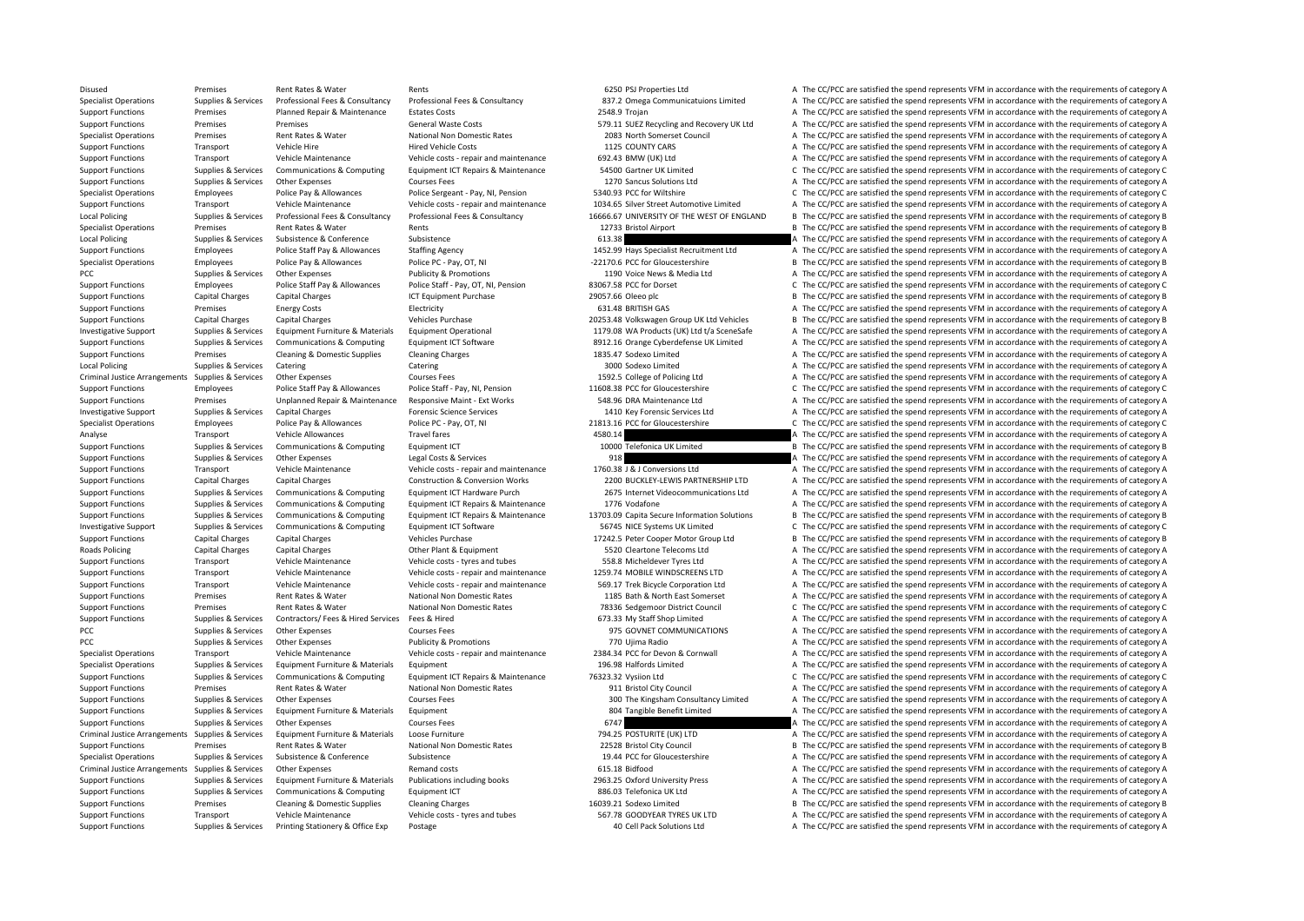Disused Premises Rent Rates & Water Rents Rents Rents 6250 PSJ Properties Ltd A The CC/PCC are satisfied the spend represents VFM in accordance with the requirements of category A Supplies & Services Professional Fees & Consultancy Professional Fees & Consultancy Professional Fees & Consultancy Professional Fees & Consultancy Professional Fees & Consultancy Professional Fees & Consultancy 837.2 Omeg Support Functions Premises Planned Repair & Maintenance Estates Costs 2548.9 Trojan A The CC/PCC are satisfied the spend represents VFM in accordance with the requirements of category A Support Functions Premises Premises Premises Ceneral Waste Costs 579.11 SUEZ Recycling and Recovery UK Ltd A The CC/PCC are satisfied the spend represents VFM in accordance with the requirements of category A Specialist Operations Premises Rent Rates & Water National Non Domestic Rates 2083 North Somerset Council A The CC/PCC are satisfied the spend represents VFM in accordance with the requirements of category A Support Functions Transport Vehicle Hire Hire Hired Vehicle Costs Hired Vehicle Costs 1125 COUNTY CARS A The CC/PCC are satisfied the spend represents VFM in accordance with the requirements of category A Support Functions Transport Vehicle Maintenance Vehicle costs - repair and maintenance 692.43 BMW (UK) Ltd A The CC/PCC are satisfied the spend represents VFM in accordance with the requirements of category A Support Functions Supplies & Services Communications & Computing Foujoment ICT Repairs & Maintenance 54500 Gartner UK Limited C. The CC/PCC are satisfied the spend represents VFM in accordance with the requirements of cate Support Functions Supplies & Services Other Expenses Courses Fees Courses Fees 1270 Sancus Solutions Ltd A The CC/PCC are satisfied the spend represents VFM in accordance with the requirements of category A Specialist Operations Employees Police Pay & Allowances Police Sergeant - Pay, NI, Pension 5340.93 PCC for Wiltshire C The CC/PCC are satisfied the spend represents VFM in accordance with the requirements of category C Support Functions Transport Vehicle Maintenance Vehicle Costs - repair and maintenance 1034.65 Silver Street Automotive Limited A The CC/PCC are satisfied the spend represents VFM in accordance with the requirements of cat Local Policing Sunnlies & Services Professional Fees & Consultancy Professional Fees & Consultancy Professional Fees & Consultancy Professional Fees & Consultancy 16666.67 UNIVERSITY OF THE WEST OF ENGLAND B The CC/PCC are Specialist Operations Premises Rent Rates & Water Rents Rents Rents Rents 12733 Bristol Airport B The CC/PCC are satisfied the spend represents VFM in accordance with the requirements of category B Local Policing Supplies & Services Subsistence & Conference Subsistence Subsistence Subsistence Subsistence Subsistence Subsistence Subsistence Subsistence Subsistence Subsistence Subsistence Subsistence Subsistence Subsis Support Functions Employees Police Staff Pay & Allowances Staffing Agency 1452.99 Hays Specialist Recruitment Ltd A The CC/PCC are satisfied the spend represents VFM in accordance with the requirements of category A Specialist Operations Employees Police Pay & Allowances Police PC - Pay, OT, NI • 22170.6 PCC for Gloucestershire B The CC/PCC are satisfied the spend represents VFM in accordance with the requirements of category B PCC Supplies & Services Other Expenses Publicity & Promotions 1190 Voice News & Media Ltd A The CC/PCC are satisfied the spend represents VFM in accordance with the requirements of category A Support Functions Employees Police Staff Pay & Allowances Police Staff - Pay, OT, NI, Pension 83067.58 PCC for Dorset C The CC/PCC are satisfied the spend represents VFM in accordance with the requirements of category C Support Functions Capital Charges Capital Charges ICT Equipment Purchase 29057.66 Oleeo plc B The CC/PCC are satisfied the spend represents VFM in accordance with the requirements of category B Support Functions Premises Energy Costs Electricity Electricity **Electricity** 631.48 BRITISH GAS A The CC/PCC are satisfied the spend represents VFM in accordance with the requirements of category A Support Functions Capital Charges Capital Charges Vehicles Purchase 20253.48 Volkswagen Group UK Ltd Vehicles B The CC/PCC are satisfied the spend represents VFM in accordance with the requirements of category B Investigative Support Supplies & Services Equipment Furniture & Materials Equipment Operational 1179.08 WA Products (UK) Ltd t/a SceneSafe A The CC/PCC are satisfied the spend represents VFM in accordance with the requirem Support Functions Supplies & Services Communications & Computing Equipment ICT Software 8912.16 Orange Cyberdefense UK Limited A The CC/PCC are satisfied the spend represents VFM in accordance with the requirements of cate Support Functions Premises Cleaning & Domestic Supplies Cleaning Charges 1835.47 Sodexo Limited A The CC/PCC are satisfied the spend represents VFM in accordance with the requirements of category A Local Policing Supplies & Services Catering Supplies Catering Catering Catering Catering Catering Catering Catering Catering Supplies and Supplies and Supplies A The CC/PCC are satisfied the spend represents VFM in accorda Criminal Justice Arrangements Supplies & Services Other Expenses Courses Fees Courses Fees 1592.5 College of Policing Ltd A The CC/PCC are satisfied the spend represents VFM in accordance with the requirements of category Support Functions Employees Police Staff Pay & Allowances Police Staff - Pay, NI, Pension 11608.38 PCC for Gloucestershire C The CC/PCC are satisfied the spend represents VFM in accordance with the requirements of category Support Functions Premises Unplanned Repair & Maintenance Responsive Maint - Ext Works 548.96 DRA Maintenance Ltd A The CC/PCC are satisfied the spend represents VFM in accordance with the requirements of category A Investigative Support Supplies & Services Capital Charges Forensic Science Services 1410 Key Forensic Services 1410 Key Forensic Services Ltd A The CC/PCC are satisfied the spend represents VFM in accordance with the requi Specialist Operations Employees Police Pay & Allowances Police PC - Pay, OT, NI 21813.16 PCC for Gloucestershire C The CC/PCC are satisfied the spend represents VFM in accordance with the requirements of category C Analyse Transport Vehicle Allowances Travel fares Travel fares 4580.14 A The CC/PCC are satisfied the spend represents VFM in accordance with the requirements of category A Support Functions Supplies & Services Communications & Computing Faultoment ICT 10000 Telefonica UK Limited B The CC/PCC are satisfied the spend represents VFM in accordance with the requirements of category B Support Functions Supplies & Services Other Expenses Legal Costs & Services 918 918 A The CC/PCC are satisfied the spend represents VFM in accordance with the requirements of category A Support Functions Transport Vehicle Maintenance Vehicle Costs - repair and maintenance 1760.38 J & J Conversions Ltd A The CC/PCC are satisfied the spend represents VFM in accordance with the requirements of category A Support Functions Capital Charges Capital Charges Construction & Conversion Works 2200 BUCKLEY‐LEWIS PARTNERSHIP LTD A The CC/PCC are satisfied the spend represents VFM in accordance with the requirements of category A Support Functions Supplies & Services Communications & Computing Foujoment ICT Hardware Purch 2675 Internet Videocommunications Ltd A The CC/PCC are satisfied the spend represents VFM in accordance with the requirements of Support Functions Supplies & Services Communications & Computing Equipment ICT Repairs & Maintenance 1776 Vodafone A The CC/PCC are satisfied the spend represents VFM in accordance with the requirements of category A Support Functions Supplies & Services Communications & Computing Equipment ICT Repairs & Maintenance 13703.09 Capita Secure Information Solutions B The CC/PCC are satisfied the spend represents VFM in accordance with the r Investigative Support Supplies & Services Communications & Computing Equipment ICT Software 56745 NICE Systems UK Limited C The CC/PCC are satisfied the spend represents VFM in accordance with the requirements of category Support Functions Capital Charges Capital Charges Vehicles Purchase Vehicles Purchase 17242.5 Peter Cooper Motor Group Ltd B The CC/PCC are satisfied the spend represents VFM in accordance with the requirements of category Roads Policing Capital Charges Capital Charges Other Plant & Equipment 5520 Cleartone Telecoms Ltd A The CC/PCC are satisfied the spend represents VFM in accordance with the requirements of category A Support Functions Transport Vehicle Maintenance Vehicle costs - tyres and tubes 558.8 Micheldever Tyres Ltd A The CC/PCC are satisfied the spend represents VFM in accordance with the requirements of category A Support Functions Transport Vehicle Maintenance Vehicle costs - repair and maintenance 1259.74 MOBILE WINDSCREENS LTD A The CC/PCC are satisfied the spend represents VFM in accordance with the requirements of category A Support Functions Transport Vehicle Maintenance Vehicle costs - repair and maintenance 569.17 Trek Bicycle Corporation Ltd A The CC/PCC are satisfied the spend represents VFM in accordance with the requirements of category Support Functions Premises Rent Rates & Water National Non Domestic Rates 1185 Bath & North East Somerset A The CC/PCC are satisfied the spend represents VFM in accordance with the requirements of category A Support Functions Premises Rent Rates & Water National Non Domestic Rates 78336 Sedgemoor District Council C The CC/PCC are satisfied the spend represents VFM in accordance with the requirements of category C Support Functions Supplies & Services Contractors/ Fees & Hired Services Fees & Hired 673.33 My Staff Shop Limited A The CC/PCC are satisfied the spend represents VFM in accordance with the requirements of category A PCC Supplies & Services Other Expenses Courses Fees 975 GOVNET COMMUNICATIONS A The CC/PCC are satisfied the spend represents VFM in accordance with the requirements of category A PCC Supplies & Services Other Expenses Publicity & Promotions 770 Ujima Radio A The CC/PCC are satisfied the spend represents VFM in accordance with the requirements of category A Specialist Operations Transport Vehicle Maintenance Vehicle Costs - repair and maintenance 2384.34 PCC for Devon & Cornwall A The CC/PCC are satisfied the spend represents VFM in accordance with the requirements of categor Specialist Operations Supplies & Services Equipment Furniture & Materials Equipment 196.98 Halfords Limited A The CC/PCC are satisfied the spend represents VFM in accordance with the requirements of category A Support Functions Supplies & Services Communications & Computing Equipment ICT Repairs & Maintenance 76323.32 Vysiion Ltd C The CC/PCC are satisfied the spend represents VFM in accordance with the requirements of category Support Functions Premises Rent Rates & Water National Non Domestic Rates 911 Bristol City Council A The CC/PCC are satisfied the spend represents VFM in accordance with the requirements of category A Support Functions Supplies & Services Other Expenses Courses Fees Courses Fees 300 The Kingsham Consultancy Limited A The CC/PCC are satisfied the spend represents VFM in accordance with the requirements of category A Support Functions Supplies & Services Equipment Furniture & Materials Equipment and the support and the Support Equipment and the Support and the CC/PCC are satisfied the spend represents VFM in accordance with the require Support Functions Supplies & Services Other Expenses Courses Fees 6747 6747 6747 A The CC/PCC are satisfied the spend represents VFM in accordance with the requirements of category A Criminal Justice Arrangements Supplies & Services Equipment Furniture & Materials Loose Furniture export Arrangement Criminal Supplies and The CC/PCC are satisfied the spend represents VFM in accordance with the requiremen Support Functions Premises Rent Rates & Water National Non Domestic Rates 22528 Bristol City Council B The CC/PCC are satisfied the spend represents VFM in accordance with the requirements of category B Specialist Operations Supplies & Services Subsistence Subsistence Subsistence Subsistence Subsistence Subsistence Subsistence Subsistence Subsistence Subsistence Subsistence Subsistence Subsistence Subsistence Subsistence Criminal Justice Arrangements Supplies & Services Other Expenses Remand costs 615.18 Bidfood 615.18 Bidfood A The CC/PCC are satisfied the spend represents VFM in accordance with the requirements of category A Support Functions Supplies & Services Equipment Furniture & Materials Publications including books 2963.25 Oxford University Press A The CC/PCC are satisfied the spend represents VFM in accordance with the requirements of Support Functions Supplies & Services Communications & Computing Equipment ICT 886.03 Telefonica UK Ltd A The CC/PCC are satisfied the spend represents VFM in accordance with the requirements of category A Support Functions Premises Cleaning & Domestic Supplies Cleaning Charges 16039.21 Sodexo Limited B The CC/PCC are satisfied the spend represents VFM in accordance with the requirements of category B Support Functions Transport Vehicle Maintenance Vehicle costs - tyres and tubes 567.78 GOODYEAR TYRES UK LTD A The CC/PCC are satisfied the spend represents VFM in accordance with the requirements of category A Support Functions Supplies & Services Printing Stationery & Office Exp Postage 40 Cell Pack Solutions Ltd A The CC/PCC are satisfied the spend represents VFM in accordance with the requirements of category A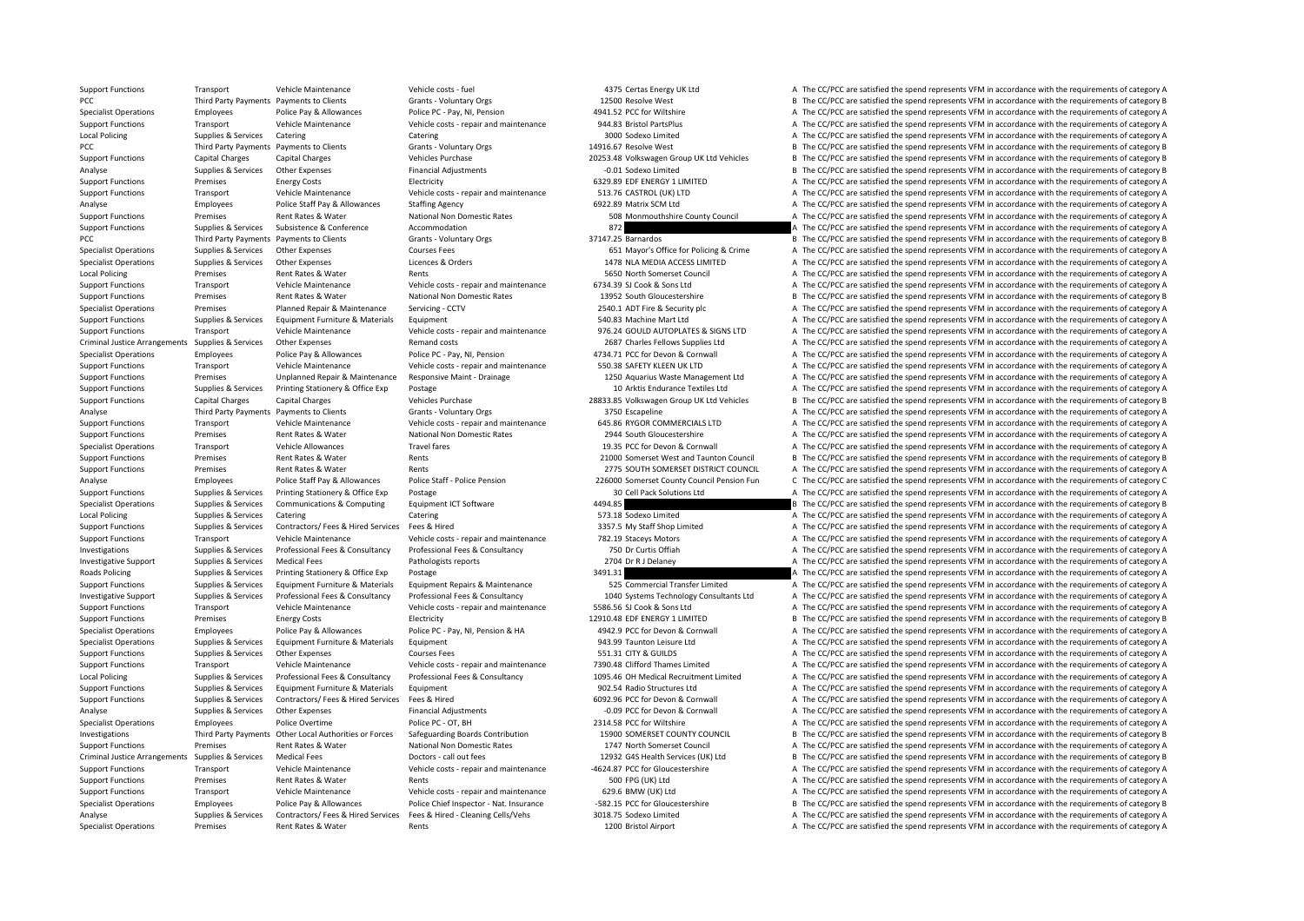Specialist Operations Premises Rent Rates & Water Rents 1200 Bristol Airport A The CC/PCC are satisfied the spend represents VFM in accordance with the requirements of category A

Support Functions Transport Vehicle Maintenance Vehicle costs - fuel 4375 Certas Energy UK Ltd A The CC/PCC are satisfied the spend represents VFM in accordance with the requirements of category A PCC Third Party Payments Payments to Clients Grants - Voluntary Orgs 12500 Resolve West B The CC/PCC are satisfied the spend represents VFM in accordance with the requirements of category B Specialist Operations Employees Police Pay & Allowances Police PC - Pay, NI, Pension 4941.52 PCC for Wiltshire A The CC/PCC are satisfied the spend represents VFM in accordance with the requirements of category A The CC/PC Support Functions Transport Vehicle Maintenance Vehicle costs repair and maintenance 944.83 Bristol PartsPlus A The CC/PCC are satisfied the spend represents VFM in accordance with the requirements of category A The CC/PCC Local Policing Supplies & Services Catering Supplies Catering Catering Catering Catering Catering Catering Catering Supplies A The CC/PCC are satisfied the spend represents VFM in accordance with the requirements of catego PCC Third Party Payments Payments to Clients Grants - Voluntary Orgs 14916.67 Resolve West B The CC/PCC are satisfied the spend represents VFM in accordance with the requirements of category B Support Functions Capital Charges Capital Charges Vehicles Purchase 20253.48 Volkswagen Group UK Ltd Vehicles B The CC/PCC are satisfied the spend represents VFM in accordance with the requirements of category B Analyse Supplies & Services Other Expenses Financial Adjustments – -0.01 Sodexo Limited B The CC/PCC are satisfied the spend represents VFM in accordance with the requirements of category B Support Functions Premises Energy Costs Electricity Electricity Electricity 6329.89 EDF ENERGY 1 LIMITED A The CC/PCC are satisfied the spend represents VFM in accordance with the requirements of category A Support Functions Transport Vehicle Maintenance Vehicle costs - repair and maintenance 513.76 CASTROL (UK) LTD A The CC/PCC are satisfied the spend represents VFM in accordance with the requirements of category A Analyse Employees Police Staff Pay & Allowances Staffing Agency 6922.89 Matrix SCM Ltd A The CC/PCC are satisfied the spend represents VFM in accordance with the requirements of category A Subsections Premises Rent Rates & Support Functions Premises Rent Rates & Water National Non Domestic Rates 508 Monmouthshire Council A The CC/PCC are satisfied the spend represents VFM in accordance with the requirements of category A Support Functions Supplies & Services Subsistence & Conference Accommodation and accommodation 872 A The CC/PCC are satisfied the spend represents VFM in accordance with the requirements of category A PCC Third Party Payments Payments to Clients Grants - Voluntary Orgs 37147.25 Barnardos B The CC/PCC are satisfied the spend represents VFM in accordance with the requirements of category B Specialist Operations Supplies & Services Other Expenses Courses Fees Courses Fees 651 Mayor's Office for Policing & Crime A The CC/PCC are satisfied the spend represents VFM in accordance with the requirements of category Specialist Operations Supplies & Services Other Expenses Licences & Orders Licences A Criders 1478 NLA MEDIA ACCESS LIMITED A The CC/PCC are satisfied the spend represents VFM in accordance with the requirements of categor Local Policing Premises Rent Rates & Water Rents Rents Rents Section Rent Rents Section Council Section A The CC/PCC are satisfied the spend represents VFM in accordance with the requirements of category A Support Functions Transport Vehicle Maintenance Vehicle costs - repair and maintenance 6734.39 SJ Cook & Sons Ltd A The CC/PCC are satisfied the spend represents VFM in accordance with the requirements of category A Support Functions Premises Rent Rates & Water National Non Domestic Rates 13952 South Gloucestershire B The CC/PCC are satisfied the spend represents VFM in accordance with the requirements of category B Specialist Operations Premises Planned Repair & Maintenance Servicing ‐ CCTV 2540.1 ADT Fire & Security plc A The CC/PCC are satisfied the spend represents VFM in accordance with the requirements of category A Support Functions Supplies & Services Equipment Furniture & Materials Equipment Satisfies Equipment 540.83 Machine Mart Ltd A The CC/PCC are satisfied the spend represents VFM in accordance with the requirements of categor Support Functions Transport Vehicle Maintenance Vehicle costs - repair and maintenance 976.24 GOULD AUTOPLATES & SIGNS LTD A The CC/PCC are satisfied the spend represents VFM in accordance with the requirements of category Criminal Justice Arrangements Supplies & Services Other Expenses Remand costs Remand costs 2687 Charles Fellows Supplies Ltd A The CC/PCC are satisfied the spend represents VFM in accordance with the requirements of catego Specialist Operations Employees Police Pay & Allowances Police PC • Pay, NI, Pension 4734.71 PCC for Devon & Cornwall A The CC/PCC are satisfied the spend represents VFM in accordance with the requirements of category A Support Functions Transport Vehicle Maintenance Vehicle costs - repair and maintenance 550.38 SAFETY KLEEN UK LTD A The CC/PCC are satisfied the spend represents VFM in accordance with the requirements of category A Support Functions Premises Unplanned Repair & Maintenance Responsive Maint - Drainage 1250 Aquarius Waste Management Ltd A The CC/PCC are satisfied the spend represents VFM in accordance with the requirements of category A Support Functions Supplies & Services Printing Stationery & Office Exp Postage 10 Arktis Endurance Textiles Ltd A The CC/PCC are satisfied the spend represents VFM in accordance with the requirements of category A Support Functions Capital Charges Capital Charges Vehicles Purchase 28833.85 Volkswagen Group UK Ltd Vehicles B The CC/PCC are satisfied the spend represents VFM in accordance with the requirements of category B Analyse Third Party Payments Payments to Clients Grants - Voluntary Orgs 3750 Escapeline 3750 Escapeline A The CC/PCC are satisfied the spend represents VFM in accordance with the requirements of category A Support Functions Transport Vehicle Maintenance Vehicle costs - repair and maintenance 645.86 RYGOR COMMERCIALS LTD A The CC/PCC are satisfied the spend represents VFM in accordance with the requirements of category A Support Functions Premises Rent Rates & Water National Non Domestic Rates 2944 South Gloucestershire A The CC/PCC are satisfied the spend represents VFM in accordance with the requirements of category A Specialist Operations Transport Vehicle Allowances Travel fares Travel fares 19.35 PCC for Devon & Cornwall A The CC/PCC are satisfied the spend represents VFM in accordance with the requirements of category A Support Functions Premises Rent Rates & Water Rents Rents Rents 21000 Somerset West and Taunton Council B The CC/PCC are satisfied the spend represents VFM in accordance with the requirements of category B Support Functions Premises Rent Rates & Water Rents Rents Rents 2775 SOUTH SOMERSET DISTRICT COUNCIL A The CC/PCC are satisfied the spend represents VFM in accordance with the requirements of category A Analyse Employees Police Staff Pay & Allowances Police Staff - Police Staff - Police Staff - Police Staff - Police Staff - Police Pension 226000 Somerset County Council Pension Fun C The CC/PCC are satisfied the spend repr Support Functions Supplies & Services Printing Stationery & Office Exp Postage 30 Cell Pack Solutions Ltd A The CC/PCC are satisfied the spend represents VFM in accordance with the requirements of category A Specialist Operations Supplies & Services Communications & Computing Equipment ICT Software 4494.85 And Computing 1997 B The CC/PCC are satisfied the spend represents VFM in accordance with the requirements of category B Local Policing Supplies & Services Catering Catering Catering Catering Catering Catering Catering Catering Catering Catering ST3.18 Sodexo Limited A The CC/PCC are satisfied the spend represents VFM in accordance with the Support Functions Supplies & Services Contractors/ Fees & Hired Services Fees & Hired Services Fees & Hired 3357.5 My Staff Shop Limited A The CC/PCC are satisfied the spend represents VFM in accordance with the requiremen Support Functions Transport Vehicle Maintenance Vehicle costs - repair and maintenance 782.19 Staceys Motors A The CC/PCC are satisfied the spend represents VFM in accordance with the requirements of category A Investigations Supplies & Services Professional Fees & Consultancy Professional Fees & Consultancy Professional Fees & Consultancy Professional Fees & Consultancy 750 Dr Curtis Offiah A The CC/PCC are satisfied the spend r Investigative Support Supplies & Services Medical Fees Pathologists reports Pathologists reports 2704 Dr R J Delaney A The CC/PCC are satisfied the spend represents VFM in accordance with the requirements of category A Roads Policing Supplies & Services Printing Stationery & Office Exp Postage Printing Stationery & Office Exp Postage 3491.31 3491.31 A The CC/PCC are satisfied the spend represents VFM in accordance with the requirements o Support Functions Supplies & Services Equipment Furniture & Materials Equipment Repairs & Maintenance 525 Commercial Transfer Limited A The CC/PCC are satisfied the spend represents VFM in accordance with the requirements Investigative Support Supplies & Services Professional Fees & Consultancy Professional Fees & Consultancy Professional Fees & Consultancy Professional Fees & Consultancy Professional Fees & Consultancy Professional Fees & Support Functions Transport Vehicle Maintenance Vehicle costs - repair and maintenance 5586.56 SJ Cook & Sons Ltd A The CC/PCC are satisfied the spend represents VFM in accordance with the requirements of category A Support Functions Premises Energy Costs Electricity Electricity Electricity 12910.48 EDF ENERGY 1 LIMITED B The CC/PCC are satisfied the spend represents VFM in accordance with the requirements of category B Specialist Operations Employees Police Pay & Allowances Police PC - Pay, NI, Pension & HA 4942.9 PCC for Devon & Cornwall A The CC/PCC are satisfied the spend represents VFM in accordance with the requirements of category Specialist Operations Supplies & Services Equipment Furniture & Materials Equipment 943.99 Taunton Leisure Ltd A The CC/PCC are satisfied the spend represents VFM in accordance with the requirements of category A Support Functions Supplies & Services Other Expenses Courses Fees Courses Fees 551.31 CITY & GUILDS A The CC/PCC are satisfied the spend represents VFM in accordance with the requirements of category A Support Functions Transport Vehicle Maintenance Vehicle costs - repair and maintenance 7390.48 Clifford Thames Limited A The CC/PCC are satisfied the spend represents VFM in accordance with the requirements of category A Local Policing Supplies & Services Professional Fees & Consultancy Professional Fees & Consultancy Professional Fees & Consultancy Professional Fees & Consultancy Professional Fees & Consultancy Professional Fees & Consult Support Functions Supplies & Services Equipment Furniture & Materials Equipment 902.54 Radio Structures Ltd A The CC/PCC are satisfied the spend represents VFM in accordance with the requirements of category A Support Functions Supplies & Services Contractors/ Fees & Hired Services Fees & Hired 6092.96 PCC for Devon & Cornwall A The CC/PCC are satisfied the spend represents VFM in accordance with the requirements of category A Analyse Supplies & Services Other Expenses Financial Adjustments Financial Adjustments – 0.09 PCC for Devon & Cornwall A The CC/PCC are satisfied the spend represents VFM in accordance with the requirements of category A Specialist Operations Employees Police Overtime Police PC - OT, BH 2314.58 PCC for Wiltshire A The CC/PCC are satisfied the spend represents VFM in accordance with the requirements of category A Investigations Third Party Payments Other Local Authorities or Forces Safeguarding Boards Contribution 15900 SOMERSET COUNTY COUNCIL B The CC/PCC are satisfied the spend represents VFM in accordance with the requirements o Support Functions Premises Rent Rates & Water National Non Domestic Rates 1747 North Somerset Council A The CC/PCC are satisfied the spend represents VFM in accordance with the requirements of category A Criminal Justice Arrangements Supplies & Services Medical Fees Doctors ‐ call out fees 12932 G4S Health Services (UK) Ltd B The CC/PCC are satisfied the spend represents VFM in accordance with the requirements of category B Support Functions Transport Vehicle Maintenance Vehicle costs - repair and maintenance 4624.87 PCC for Gloucestershire A The CC/PCC are satisfied the spend represents VFM in accordance with the requirements of category A Support Functions Premises Rent Rates & Water Rents Rents Rents SOO FPG (UK) Ltd A The CC/PCC are satisfied the spend represents VFM in accordance with the requirements of category A Support Functions Transport Vehicle Maintenance Vehicle costs - repair and maintenance 629.6 BMW (UK) Ltd A The CC/PCC are satisfied the spend represents VFM in accordance with the requirements of category A Specialist Operations Employees Police Pay & Allowances Police Chief Inspector - Nat. Insurance -582.15 PCC for Gloucestershire B The CC/PCC are satisfied the spend represents VFM in accordance with the requirements of cat Analyse Supplies & Services Contractors/ Fees & Hired Services Fees & Hired - Cleaning Cells/Vehs 3018.75 Sodexo Limited A The CC/PCC are satisfied the spend represents VFM in accordance with the requirements of category A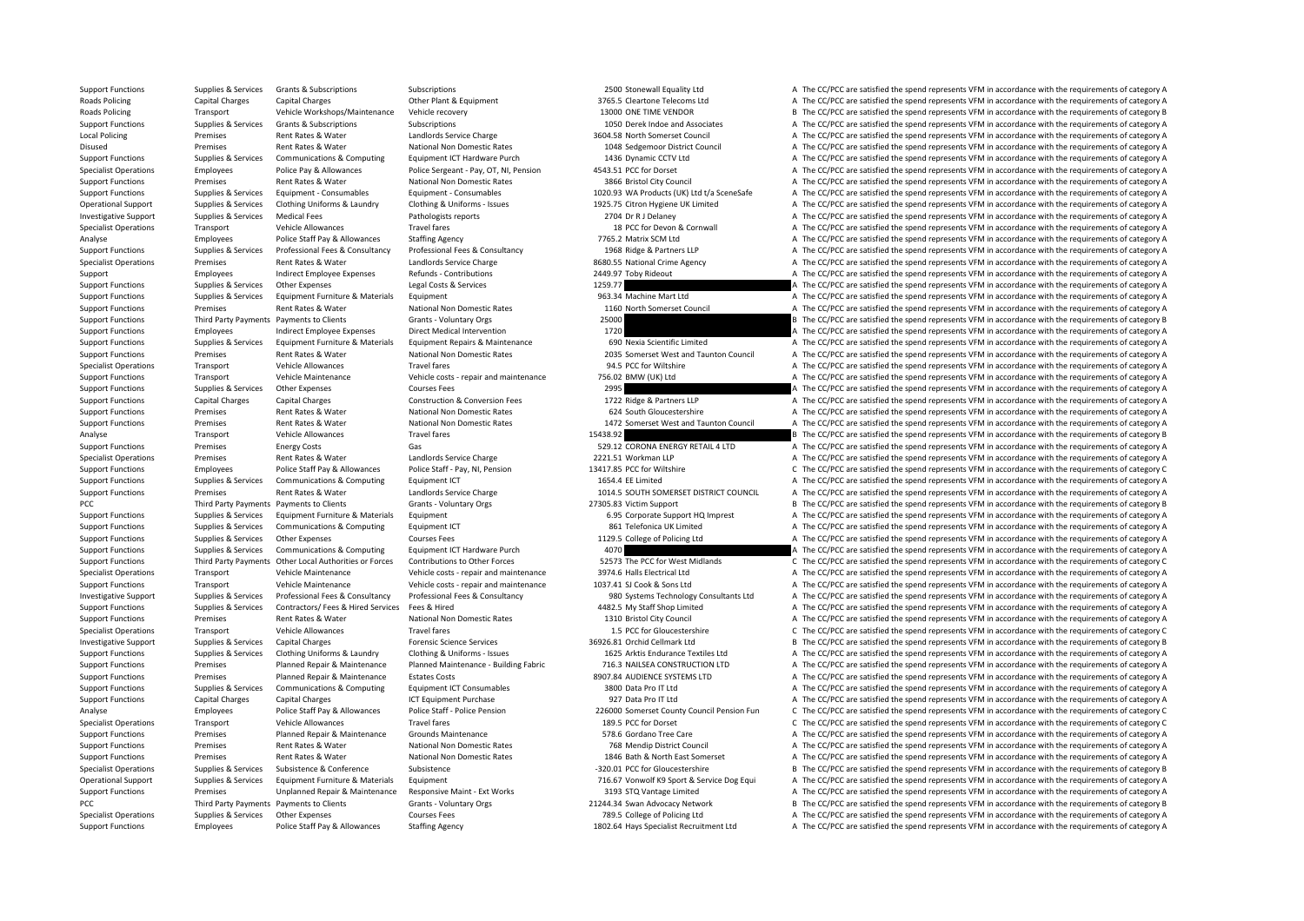Support Functions Supplies & Services Grants & Subscriptions Subscriptions Subscriptions Subscriptions 2500 Stonewall Equality Ltd A The CC/PCC are satisfied the spend represents VFM in accordance with the requirements of Roads Policing Capital Charges Capital Charges Capital Charges Other Plant & Equipment Charges Capital Charges Capital Charges Capital Charges Capital Charges Other Plant & Equipment and Squipment 3765.5 Cleartone Telecoms Roads Policing Transport Vehicle Workshops/Maintenance Vehicle recovery 13000 ONE TIME VENDOR B The CC/PCC are satisfied the spend represents VFM in accordance with the requirements of category B Support Functions Supporters Support Grants & Subscriptions Subscriptions Subscriptions Subscriptions Subscriptions Subscriptions of category A The CC/PCC are satisfied the spend represents VFM in accordance with the requi Local Policing Premises Rent Rates & Water Landlords Service Charge 3604.58 North Somerset Council A The CC/PCC are satisfied the spend represents VFM in accordance with the requirements of category A Disused Premises Rent Rates & Water National Non Domestic Rates 1048 Sedgemoor District Council A The CC/PCC are satisfied the spend represents VFM in accordance with the requirements of category A Support Functions Supplies & Services Communications & Computing Equipment ICT Hardware Purch 1436 Dynamic CCTV Ltd A The CC/PCC are satisfied the spend represents VFM in accordance with the requirements of category A Specialist Operations Employees Police Pay & Allowances Police Sergeant - Pay, OT, NI, Pension 4543.51 PCC for Dorset A The CC/PCC are satisfied the spend represents VFM in accordance with the requirements of category A Support Functions Premises Rent Rates & Water National Non Domestic Rates 3866 Bristol City Council A The CC/PCC are satisfied the spend represents VFM in accordance with the requirements of category A Supplies & Services Equipment - Consumables Equipment - Consumables Equipment - Consumables Equipment - Consumables Equipment - Consumables Equipment - Consumables (UK) to the CC/PCC are satisfied the spend represents VFM Operational Support Supplies & Services Clothing Uniforms & Laundry Clothing & Uniforms - Issues 1925.75 Citron Hygiene UK Limited A The CC/PCC are satisfied the spend represents VFM in accordance with the requirements of Investigative Support Supplies & Services Medical Fees Pathologists reports Pathologists reports 2704 Dr R J Delaney A The CC/PCC are satisfied the spend represents VFM in accordance with the requirements of category A Specialist Operations Transport Vehicle Allowances Travel fares Travel fares and the COLOGO and the COLOGO A The CC/PCC are satisfied the spend represents VFM in accordance with the requirements of category A Analyse Employees Police Staff Pay & Allowances Staffing Agency 7765.2 Matrix SCM Ltd A The CC/PCC are satisfied the spend represents VFM in accordance with the requirements of category A Support Functions Supplies & Services Professional Fees & Consultancy Professional Fees & Consultancy Professional Fees & Consultancy Professional Fees & Consultancy Professional Fees & Consultancy Professional Fees & Cons Specialist Operations Premises Rent Rates & Water Landlords Service Charge 8680.55 National Crime Agency A The CC/PCC are satisfied the spend represents VFM in accordance with the requirements of category A Support Employees Indirect Employee Expenses Refunds - Contributions 2449.97 Toby Rideout A The CC/PCC are satisfied the spend represents VFM in accordance with the requirements of category A Support Functions Supplies & Services Other Expenses Legal Costs & Services 1259.77 A The CC/PCC are satisfied the spend represents VFM in accordance with the requirements of category A Support Functions Supplies & Services Equipment Furniture & Materials Equipment 963.34 Machine Mart Ltd A The CC/PCC are satisfied the spend represents VFM in accordance with the requirements of category A Support Functions Premises Rent Rates & Water National Non Domestic Rates 1160 North Somerset Council A The CC/PCC are satisfied the spend represents VFM in accordance with the requirements of category A Support Functions Third Party Payments Payments to Clients Grants - Voluntary Orgs 25000 25000 B The CC/PCC are satisfied the spend represents VFM in accordance with the requirements of category B Support Functions Employees Indirect Employee Expenses Direct Medical Intervention 1720 1720 A The CC/PCC are satisfied the spend represents VFM in accordance with the requirements of category A Supplies & Services Equipment Furniture & Materials Equipment Repairs & Maintenance 690 Nexia Scientific Limited A The CC/PCC are satisfied the spend represents VFM in accordance with the requirements of category A Support Functions Premises Rent Rates Water National Non Domestic Rates 2035 Somerset West and Taunton Council A The CC/PCC are satisfied the spend represents VFM in accordance with the requirements of category A Specialist Operations Transport Vehicle Allowances Travel fares Travel fares and the Allowances Travel fares a The CC/PCC for Wiltshire A The CC/PCC are satisfied the spend represents VFM in accordance with the requirement Support Functions Transport Vehicle Maintenance Vehicle costs - repair and maintenance 756.02 BMW (UK) Ltd A The CC/PCC are satisfied the spend represents VFM in accordance with the requirements of category A Support Functions Supplies & Services Other Expenses 2001 Courses Fees 2995 2995 A The CC/PCC are satisfied the spend represents VFM in accordance with the requirements of category A Support Functions Capital Charges Capital Charges Construction & Conversion Fees 1722 Ridge & Partners LLP A The CC/PCC are satisfied the spend represents VFM in accordance with the requirements of category A Support Functions Premises Rent Rates & Water National Non Domestic Rates 624 South Gloucestershire A The CC/PCC are satisfied the spend represents VFM in accordance with the requirements of category A Support Functions Premises Rent Rates & Water National Non Domestic Rates 1472 Somerset West and Taunton Council A The CC/PCC are satisfied the spend represents VFM in accordance with the requirements of category A Analyse Transport Vehicle Allowances Travel fares Travel fares 15438.92 B The CC/PCC are satisfied the spend represents VFM in accordance with the requirements of category B Support Functions Premises Finergy Costs Gas Gas Satisfied the Support Coronal ENERGY RETAIL 4 LTD A The CC/PCC are satisfied the spend represents VFM in accordance with the requirements of category A Specialist Operations Premises Rent Rates & Water Landlords Service Charge 2221.51 Workman LLP A The CC/PCC are satisfied the spend represents VFM in accordance with the requirements of category A Support Functions Employees Police Staff Pay & Allowances Police Staff - Pay, NI, Pension 13417.85 PCC for Wiltshire C The CC/PCC are satisfied the spend represents VFM in accordance with the requirements of category C Support Functions Supplies & Services Communications & Computing Equipment ICT 1654.4 EE Limited 1654.4 EE Limited A The CC/PCC are satisfied the spend represents VFM in accordance with the requirements of category A Support Functions Premises Rent Rates & Water Landlords Service Charge 1014.5 SOUTH SOMERSET DISTRICT COUNCIL A The CC/PCC are satisfied the spend represents VFM in accordance with the requirements of category A PCC Third Party Payments Payments to Clients Grants - Voluntary Orgs 27305.83 Victim Support B The CC/PCC are satisfied the spend represents VFM in accordance with the requirements of category B Support Functions Supplies & Services Equipment Furniture & Materials Equipment 6.95 Corporate Support HQ Imprest A The CC/PCC are satisfied the spend represents VFM in accordance with the requirements of category A Support Functions Supplies & Services Communications & Computing Equipment ICT 861 Telefonica UK Limited A The CC/PCC are satisfied the spend represents VFM in accordance with the requirements of category A Support Functions Supplies & Services Other Expenses Courses Fees Courses Fees 1129.5 College of Policing Ltd A The CC/PCC are satisfied the spend represents VFM in accordance with the requirements of category A Support Functions Supplies & Services Communications & Computing Equipment ICT Hardware Purch 4070 4070 A The CC/PCC are satisfied the spend represents VFM in accordance with the requirements of category A Support Functions Third Party Payments Other Local Authorities or Forces Contributions to Other Forces 52573 The PCC for West Midlands Chec C/PCC are satisfied the spend represents VFM in accordance with the requirements o Specialist Operations Transport Vehicle Maintenance Vehicle costs - repair and maintenance 3974.6 Halls Electrical Ltd A The CC/PCC are satisfied the spend represents VFM in accordance with the requirements of category A Support Functions Transport Vehicle Maintenance Vehicle costs - repair and maintenance 1037.41 SJ Cook & Sons Ltd A The CC/PCC are satisfied the spend represents VFM in accordance with the requirements of category A Investigative Support Supplies & Services Professional Fees & Consultancy Professional Fees & Consultancy Professional Fees & Consultancy Professional Fees & Consultancy Professional Fees & Consultancy Professional Fees & Support Functions Supplies & Services Contractors/ Fees & Hired Services Fees & Hired 4482.5 My Staff Shop Limited A The CC/PCC are satisfied the spend represents VFM in accordance with the requirements of category A Support Functions Premises Rent Rates & Water National Non Domestic Rates 1310 Bristol City Council A The CC/PCC are satisfied the spend represents VFM in accordance with the requirements of category A Specialist Operations Transport Vehicle Allowances Travel fares Travel fares 1.5 PCC for Gloucestershire C The CC/PCC are satisfied the spend represents VFM in accordance with the requirements of category C Investigative Support Supplies & Services Capital Charges Forensic Science Services 36926.81 Orchid Cellmark Ltd B The CC/PCC are satisfied the spend represents VFM in accordance with the requirements of category B Support Functions Supplies & Services Clothing Uniforms & Laundry Clothing & Uniforms - Issues 1625 Arktis Endurance Textiles Ltd A The CC/PCC are satisfied the spend represents VFM in accordance with the requirements of c Support Functions Premises Planned Repair & Maintenance Planned Maintenance - Building Fabric 716.3 NAILSEA CONSTRUCTION LTD A The CC/PCC are satisfied the spend represents VFM in accordance with the requirements of catego Support Functions Premises Planned Repair & Maintenance Estates Costs 8907.84 AUDIENCE SYSTEMS LTD A The CC/PCC are satisfied the spend represents VFM in accordance with the requirements of category A Support Functions Supplies & Services Communications & Computing Equipment ICT Consumables 3800 Data Pro IT Ltd A The CC/PCC are satisfied the spend represents VFM in accordance with the requirements of category A Support Functions Capital Charges Capital Charges ICT Equipment Purchase 927 Data Pro IT Ltd A The CC/PCC are satisfied the spend represents VFM in accordance with the requirements of category A Analyse Employees Police Staff Pay & Allowances Police Staff - Police Staff - Police Pension 226000 Somerset County Council Pension Fun C The CC/PCC are satisfied the spend represents VFM in accordance with the requirement Specialist Operations Transport Vehicle Allowances Travel fares Travel fares 189.5 PCC for Dorset C The CC/PCC are satisfied the spend represents VFM in accordance with the requirements of category C Support Functions Premises Planned Repair & Maintenance Grounds Maintenance Strategory A The CC/PCC are satisfied the spend represents VFM in accordance with the requirements of category A Support Functions Premises Rent Rates & Water National Non Domestic Rates 768 Mendip District Council A The CC/PCC are satisfied the spend represents VFM in accordance with the requirements of category A Support Functions Premises Rent Rates & Water National Non Domestic Rates 1846 Bath & North East Somerset A The CC/PCC are satisfied the spend represents VFM in accordance with the requirements of category A Specialist Operations Supplies & Services Subsistence Subsistence Subsistence Subsistence Subsistence Subsistence Subsistence Subsistence Subsistence Subsistence Subsistence Subsistence Subsistence Subsistence Subsistence Operational Support Supplies & Services Equipment Furniture & Materials Equipment Equipment and the Support 216.67 Vonwolf K9 Sport & Service Dog Equi A The CC/PCC are satisfied the spend represents VFM in accordance with Support Functions Premises Unplanned Repair & Maintenance Responsive Maint - Ext Works 3193 STQ Vantage Limited A The CC/PCC are satisfied the spend represents VFM in accordance with the requirements of category A PCC Third Party Payments Payments to Clients Grants - Voluntary Orgs 21244.34 Swan Advocacy Network B The CC/PCC are satisfied the spend represents VFM in accordance with the requirements of category B Specialist Operations Supplies & Services Other Expenses Courses Fees Courses Fees 789.5 College of Policing Ltd A The CC/PCC are satisfied the spend represents VFM in accordance with the requirements of category A Support Functions Employees Police Staff Pay & Allowances Staffing Agency 1802.64 Hays Specialist Recruitment Ltd A The CC/PCC are satisfied the spend represents VFM in accordance with the requirements of category A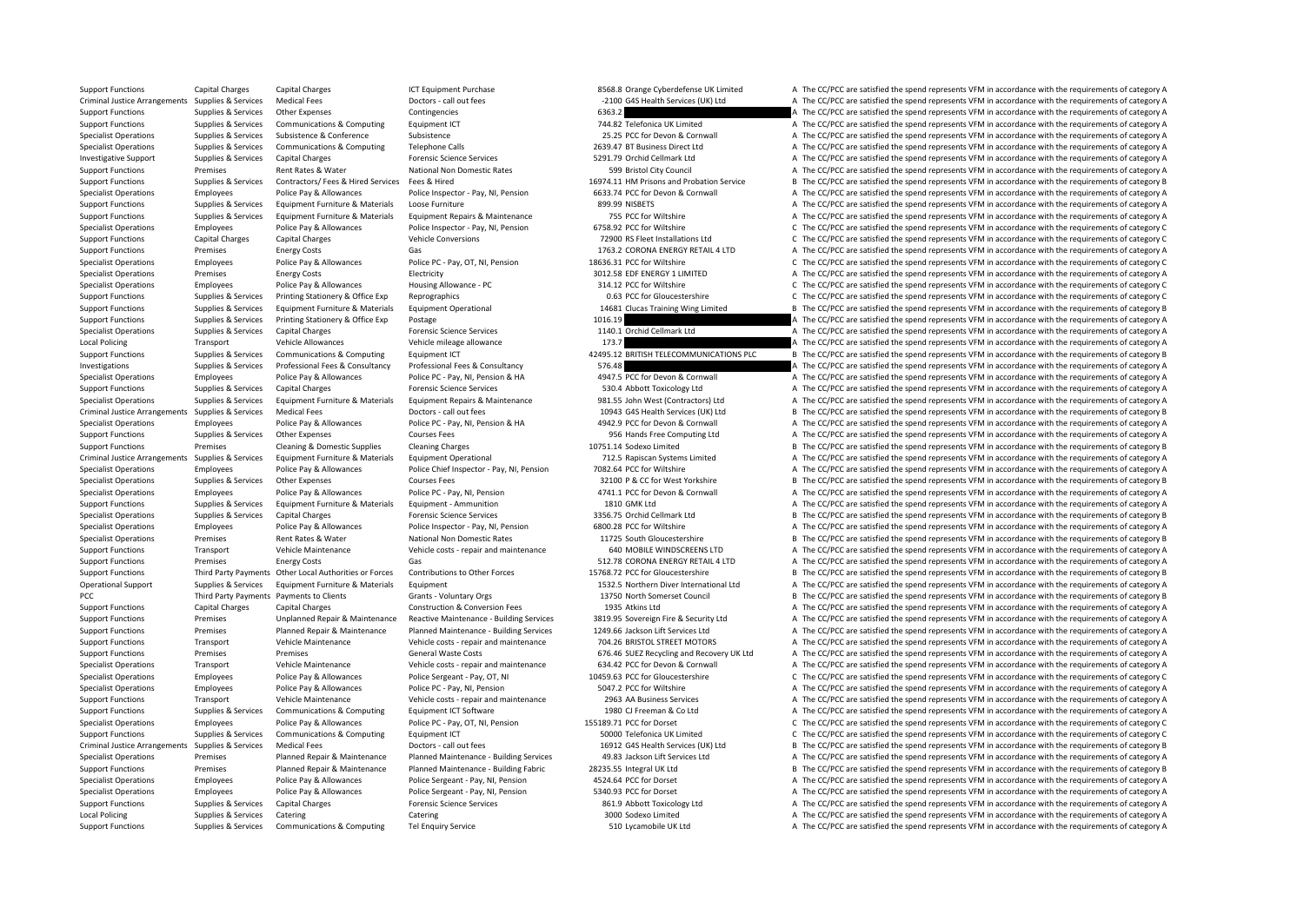Support Functions Capital Charges Capital Charges ICT Equipment Purchase 8568.8 Orange Cyberdefense UK Limited A The CC/PCC are satisfied the spend represents VFM in accordance with the requirements of category A Criminal Justice Arrangements Supplies & Services Medical Fees Doctors - call out fees Doctors - call out fees<br>
Contingencies Contingencies Contingencies Contingencies – Contingencies – G363.2 A The CC/PCC are satisfied th Support Functions Supplies Services Other Expenses Contingencies Contingencies 6363.2 A The CC/PCC are satisfied the spend represents VFM in accordance with the requirements of category A Support Functions Supporters Communications & Communications Equipment ICT 744.82 Telefonica UK Limited A The CC/PCC are satisfied the spend represents VFM in accordance with the requirements of category A Specialist Operations Supplies & Services Subsistence Subsistence Subsistence Subsistence 25.25 PCC for Devon & Cornwall A The CC/PCC are satisfied the spend represents VFM in accordance with the requirements of category A Specialist Operations Supplies & Services Communications & Computing Telephone Calls 2639.47 BT Business Direct Ltd A The CC/PCC are satisfied the spend represents VFM in accordance with the requirements of category A Investigative Support Supplies & Services Capital Charges Forensic Science Services 5291.79 Orchid Cellmark Ltd A The CC/PCC are satisfied the spend represents VFM in accordance with the requirements of category A Support Functions Premises Rent Rates & Water National Non Domestic Rates 599 Bristol City Council A The CC/PCC are satisfied the spend represents VFM in accordance with the requirements of category A Support Functions Supplies & Services Contractors/ Fees & Hired Services Fees & Hired Maried Maria 16974.11 HM Prisons and Probation Service B The CC/PCC are satisfied the spend represents VFM in accordance with the requir Specialist Operations Employees Police Pay & Allowances Police Inspector - Pay, NI, Pension 6633.74 PCC for Devon & Cornwall A The CC/PCC are satisfied the spend represents VFM in accordance with the requirements of catego Support Functions Supplies & Services Equipment Furniture & Materials Loose Furniture 8 Materials A The CC/PCC are satisfied the spend represents VFM in accordance with the requirements of category A Supplies & Services Equipment Furniture & Materials Equipment Repairs & Maintenance 755 PCC for Wiltshire A The CC/PCC are satisfied the spend represents VFM in accordance with the requirements of category A Specialist Operations Employees Police Pay & Allowances Police Inspector - Pay, NI, Pension 6758.92 PCC for Wiltshire C The CC/PCC are satisfied the spend represents VFM in accordance with the requirements of category C Support Functions Capital Charges Capital Charges Vehicle Conversions 72900 RS Fleet Installations Ltd C The CC/PCC are satisfied the spend represents VFM in accordance with the requirements of category C Support Functions Premises Energy Costs Gas Gas Function Costs Category A The CC/PCC are satisfied the spend represents VFM in accordance with the requirements of category A Specialist Operations Employees Police Pay & Allowances Police PC - Pay, OT, NI, Pension 18636.31 PCC for Wiltshire C The CC/PCC are satisfied the spend represents VFM in accordance with the requirements of category C Specialist Operations Premises Energy Costs Electricity Electricity and the Substitute and the COVEC are satisfied the spend represents VFM in accordance with the requirements of category A Specialist Operations Employees Police Pay & Allowances Housing Allowance - PC 314.12 PCC for Wiltshire C The CC/PCC are satisfied the spend represents VFM in accordance with the requirements of category C Support Functions Supplies & Services Printing Stationery & Office Exp Reprographics exp Reprographics 0.63 PCC for Gloucestershire C The CC/PCC are satisfied the spend represents VFM in accordance with the requirements of Support Functions Supplies & Services Equipment Furniture & Materials Equipment Operational 14681 Clucas Training Wing Limited B The CC/PCC are satisfied the spend represents VFM in accordance with the requirements of cate Support Functions Supplies & Services Printing Stationery & Office Exp Postage 1016.19 1016.19 A The CC/PCC are satisfied the spend represents VFM in accordance with the requirements of category A Specialist Operations Supplies & Services Capital Charges Forensic Science Services Forensic Science Services 1140.1 Orchid Cellmark Ltd A The CC/PCC are satisfied the spend represents VFM in accordance with the requiremen Local Policing Transport Vehicle Allowances Vehicle mileage allowance 173.7 1992 a The CC/PCC are satisfied the spend represents VFM in accordance with the requirements of category A Support Functions Supplies & Services Communications & Computing Equipment ICT 42495.12 BRITISH TELECOMMUNICATIONS PLC B The CC/PCC are satisfied the spend represents VFM in accordance with the requirements of category B Investigations Supplies & Services Professional Fees & Consultancy Professional Fees & Consultancy Professional Fees & Consultancy 576.48 A The CC/PCC are satisfied the spend represents VFM in accordance with the requireme Specialist Operations Employees Police Pay & Allowances Police PC - Pay, NI, Pension & HA 4947.5 PCC for Devon & Cornwall A The CC/PCC are satisfied the spend represents VFM in accordance with the requirements of category Support Functions Supplies & Services Capital Charges Forensic Science Services Forensic Science Services 530.4 Abbott Toxicology Ltd A The CC/PCC are satisfied the spend represents VFM in accordance with the requirements Supplies & Services Equipment Furniture & Materials Equipment Repairs & Maintenance 981.55 John West (Contractors) Ltd A The CC/PCC are satisfied the spend represents VFM in accordance with the requirements of category A Criminal Justice Arrangements Supplies & Services Medical Fees Doctors - call out fees 10943 G4S Health Services (UK) Ltd B The CC/PCC are satisfied the spend represents VFM in accordance with the requirements of category Specialist Operations Employees Police Pay & Allowances Police PC - Pay, NI, Pension & HA 4942.9 PCC for Devon & Cornwall A The CC/PCC are satisfied the spend represents VFM in accordance with the requirements of category Support Functions Supplies & Services Other Expenses Courses Fees 956 Hands Free Computing Ltd A The CC/PCC are satisfied the spend represents VFM in accordance with the requirements of category A Support Functions Premises Cleaning & Domestic Supplies Cleaning Charges 10751.14 Sodexo Limited B The CC/PCC are satisfied the spend represents VFM in accordance with the requirements of category B Criminal Justice Arrangements Supplies & Services Equipment Furniture & Materials Equipment Operational Equipment Operational 712.5 Rapiscan Systems Limited A The CC/PCC are satisfied the spend represents VFM in accordance Specialist Operations Employees Police Pay & Allowances Police Chief Inspector - Pay, NI, Pension 7082.64 PCC for Wiltshire AND A The CC/PCC are satisfied the spend represents VFM in accordance with the requirements of cat Specialist Operations Supplies & Services Other Expenses Courses Fees Courses Fees 32100 P & CC for West Yorkshire B The CC/PCC are satisfied the spend represents VFM in accordance with the requirements of category B Specialist Operations Employees Police Pay & Allowances Police PC - Pay, NI, Pension 4741.1 PCC for Devon & Cornwall A The CC/PCC are satisfied the spend represents VFM in accordance with the requirements of category A Support Functions Supplies & Services Equipment Furniture & Materials Equipment - Ammunition 1810 GMK Ltd A The CC/PCC are satisfied the spend represents VFM in accordance with the requirements of category A Specialist Operations Supplies & Services Capital Charges Forensic Science Services 3356.75 Orchid Cellmark Ltd B The CC/PCC are satisfied the spend represents VFM in accordance with the requirements of category B Specialist Operations Employees Police Pay & Allowances Police Inspector - Pay, NI, Pension 6800.28 PCC for Wiltshire A The CC/PCC are satisfied the spend represents VFM in accordance with the requirements of category A Specialist Operations Premises Rent Rates & Water National Non Domestic Rates 11725 South Gloucestershire B The CC/PCC are satisfied the spend represents VFM in accordance with the requirements of category B Support Functions Transport Vehicle Maintenance Vehicle costs - repair and maintenance 640 MOBILE WINDSCREENS LTD A The CC/PCC are satisfied the spend represents VFM in accordance with the requirements of category A Support Functions Premises Energy Costs Gas Gas Support RETAIL 4 LTD A The CC/PCC are satisfied the spend represents VFM in accordance with the requirements of category A Support Functions Third Party Payments Other Local Authorities or Forces Contributions to Other Forces 15768.72 PCC for Gloucestershire B The CC/PCC are satisfied the spend represents VFM in accordance with the requirement Operational Support Supplies & Services Equipment Furniture & Materials Equipment 1532.5 Northern Diver International Ltd A The CC/PCC are satisfied the spend represents VFM in accordance with the requirements of category PCC Third Party Payments Payments to Clients Grants - Voluntary Orgs 13750 North Somerset Council B The CC/PCC are satisfied the spend represents VFM in accordance with the requirements of category B Support Functions Capital Charges Capital Charges Construction & Conversion Fees 1935 Atkins Ltd A The CC/PCC are satisfied the spend represents VFM in accordance with the requirements of category A Support Functions Premises Unplanned Repair & Maintenance Reactive Maintenance - Building Services 3819.95 Sovereign Fire & Security Ltd A The CC/PCC are satisfied the spend represents VFM in accordance with the requiremen Support Functions Premises Planned Repair & Maintenance Planned Maintenance - Building Services 1249.66 Jackson Lift Services Ltd A The CC/PCC are satisfied the spend represents VEM in accordance with the requirements of c Support Functions Transport Vehicle Maintenance Vehicle costs - repair and maintenance 704.26 BRISTOL STREET MOTORS A The CC/PCC are satisfied the spend represents VFM in accordance with the requirements of category A Support Functions Premises Premises Premises Seneral Waste Costs 676.46 SUEZ Recycling and Recovery UK Ltd A The CC/PCC are satisfied the spend represents VFM in accordance with the requirements of category A Specialist Operations Transport Vehicle Maintenance Vehicle costs - repair and maintenance 634.42 PCC for Devon & Cornwall A The CC/PCC are satisfied the spend represents VFM in accordance with the requirements of category Specialist Operations Employees Police Pay & Allowances Police Sergeant - Pay, OT, NI 10459.63 PCC for Gloucestershire C The CC/PCC are satisfied the spend represents VFM in accordance with the requirements of category C Specialist Operations Employees Police Pay & Allowances Police PC - Pay, NI, Pension 5047.2 PCC for Wiltshire A The CC/PCC are satisfied the spend represents VFM in accordance with the requirements of category A Support Functions Transport Vehicle Maintenance Vehicle costs - repair and maintenance 2963 AA Business Services A The CC/PCC are satisfied the spend represents VFM in accordance with the requirements of category A Support Functions Supplies & Services Communications & Computing Equipment ICT Software 1980 CJ Freeman & Co Ltd A The CC/PCC are satisfied the spend represents VFM in accordance with the requirements of category A Specialist Operations Employees Police Pay & Allowances Police PC - Pay, OT, NI, Pension 155189.71 PCC for Dorset C The CC/PCC are satisfied the spend represents VFM in accordance with the requirements of category C Support Functions Supplies & Services Communications & Computing Equipment ICT 50000 Telefonica UK Limited C The CC/PCC are satisfied the spend represents VFM in accordance with the requirements of category C Criminal Justice Arrangements Supplies & Services Medical Fees Doctors - call out fees 16912 G4S Health Services (UK) Ltd B The CC/PCC are satisfied the spend represents VFM in accordance with the requirements of category Specialist Operations Premises Planned Repair & Maintenance Planned Maintenance - Building Services 49.83 Jackson Lift Services Ltd A The CC/PCC are satisfied the spend represents VFM in accordance with the requirements of Support Functions Premises Planned Repair & Maintenance Planned Maintenance - Building Fabric 28235.55 Integral UK Ltd B The CC/PCC are satisfied the spend represents VFM in accordance with the requirements of category B Specialist Operations Employees Police Pay & Allowances Police Sergeant - Pay, NI, Pension 4524.64 PCC for Dorset A The CC/PCC are satisfied the spend represents VFM in accordance with the requirements of category A Specialist Operations Employees Police Pay & Allowances Police Sergeant - Pay, NI, Pension 5340.93 PCC for Dorset A The CC/PCC are satisfied the spend represents VFM in accordance with the requirements of category A Support Functions Supplies & Services Capital Charges Forensic Science Services 861.9 Abott Toxicology Ltd A The CC/PCC are satisfied the spend represents VFM in accordance with the requirements of category A Local Policing Supplies & Services Catering Supplies Catering Catering Catering Catering Catering Catering Catering Catering Supplies and Supplies and Supplies A The CC/PCC are satisfied the spend represents VFM in accorda Support Functions Supplies & Services Communications & Computing Tel Enquiry Service 510 Lycamobile UK Ltd A The CC/PCC are satisfied the spend represents VFM in accordance with the requirements of category A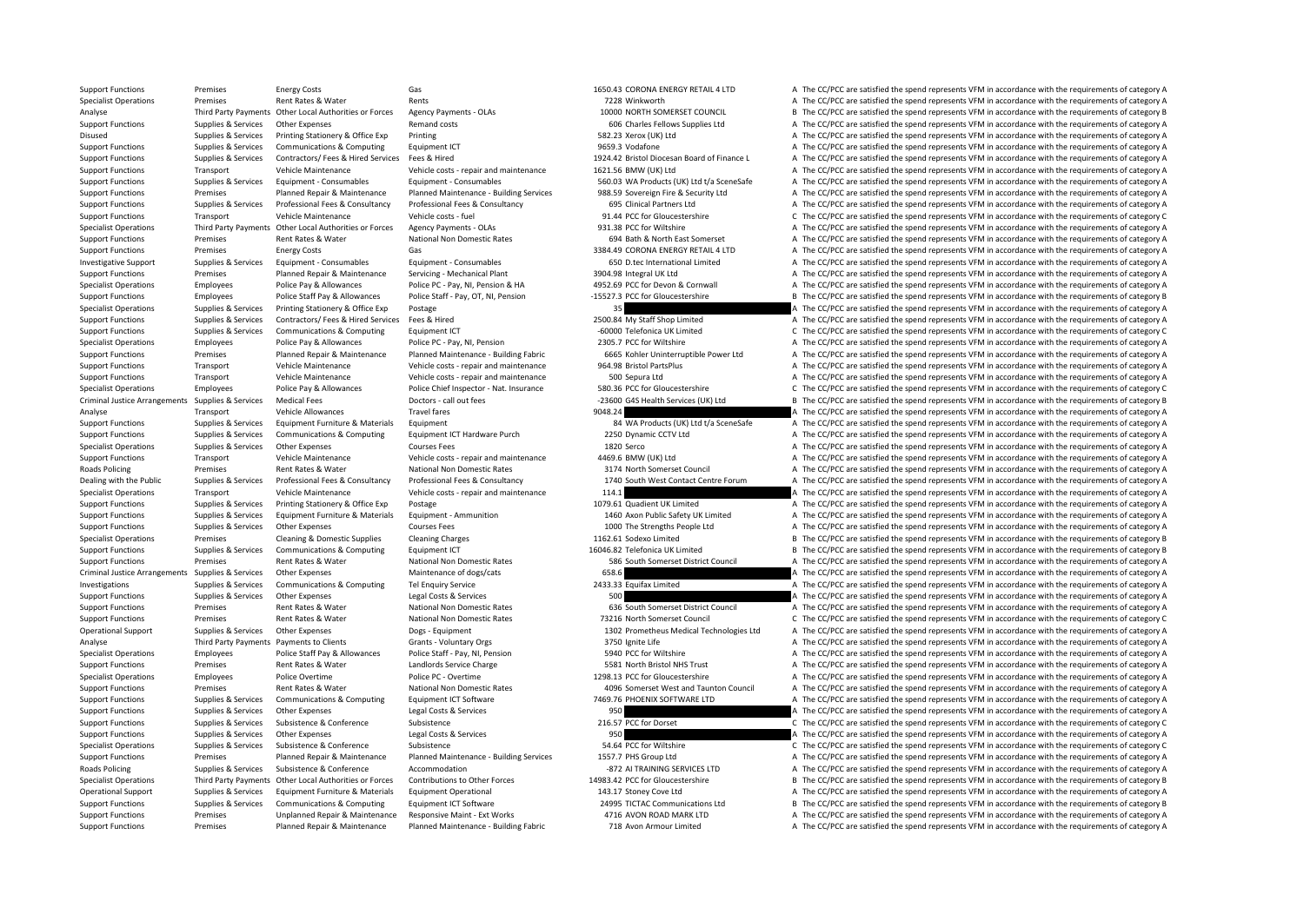Support Functions Premises Energy Costs Gas Gas 1650.43 CORONA ENERGY RETAIL 4 LTD A The CC/PCC are satisfied the spend represents VFM in accordance with the requirements of category A Specialist Operations Premises Premises Rent Rates & Water Rents Rents Rents Rents Rents Rent Rates Rents Rents Rents Rents 7228 Winkworth 10000 NORTH SOMERSET COUNCIL A The CC/PCC are satisfied the spend represents VFM in Analyse Third Party Payments Other Local Authorities or Forces Agency Payments – OLAs 10000 NORTH SOMERSET COUNCIL B The CC/PCC are satisfied the spend represents VFM in accordance with the requirements of category B Support Functions Supplies & Services Other Expenses Remand costs 606 Charles Fellows Supplies Ltd A The CC/PCC are satisfied the spend represents VFM in accordance with the requirements of category A Disused Supplies & Services Printing Stationery & Office Exp Printing Stationery A Office Exp Printing 582.23 Xerox (UK) Ltd A The CC/PCC are satisfied the spend represents VFM in accordance with the requirements of catego Support Functions Supplies & Services Communications & Computing Equipment ICT 9659.3 Vodafone 9659.3 Vodafone A The CC/PCC are satisfied the spend represents VFM in accordance with the requirements of category A Support Functions Supplies & Services Contractors/ Fees & Hired Services Fees & Hired Services Fees & Hired Services Fees & Hired Services Fees & Hired Services Pees & Hired Services Pees & Hired Services Pees & Hired Serv Support Functions Transport Vehicle Maintenance Vehicle costs - repair and maintenance 1621.56 BMW (UK) Ltd A The CC/PCC are satisfied the spend represents VFM in accordance with the requirements of category A Support Functions Supplies & Services Equipment - Consumables Equipment - Consumables Equipment - Consumables Equipment - Consumables Equipment - Consumables Equipment - Consumables S60.03 WA Products (UK) Ltd t/a SceneSaf Support Functions Premises Planned Repair & Maintenance Planned Maintenance - Building Services 988.59 Sovereign Fire & Security Ltd A The CC/PCC are satisfied the spend represents VFM in accordance with the requirements o Support Functions Supplies & Services Professional Fees & Consultancy Professional Fees & Consultancy Professional Fees & Consultancy Professional Fees & Consultancy Professional Fees & Consultancy Professional Fees & Cons Support Functions Transport Vehicle Maintenance Vehicle costs -fuel 91.44 PCC for Gloucestershire C The CC/PCC are satisfied the spend represents VFM in accordance with the requirements of category C Specialist Operations Third Party Payments Other Local Authorities or Forces Agency Payments - OLAs 931.38 PCC for Wiltshire A The CC/PCC are satisfied the spend represents VFM in accordance with the requirements of catego Support Functions Premises Rent Rates & Water National Non Domestic Rates 694 Bath & North East Somerset A The CC/PCC are satisfied the spend represents VFM in accordance with the requirements of category A Support Functions Premises Energy Costs Gas Gas Same Support Energy Costs Gas Same CORONA ENERGY RETAIL 4 LTD A The CC/PCC are satisfied the spend represents VFM in accordance with the requirements of category A Investigative Support Supplies & Services Equipment • Consumables Equipment • Consumables 650 D.tec International Limited A The CC/PCC are satisfied the spend represents VFM in accordance with the requirements of category Support Functions Premises Planned Repair & Maintenance Servicing - Mechanical Plant 3904.98 Integral UK Ltd A The CC/PCC are satisfied the spend represents VFM in accordance with the requirements of category A Specialist Operations Employees Police Pay & Allowances Police PC - Pay, NI, Pension & HA 4952.69 PCC for Devon & Cornwall A The CC/PCC are satisfied the spend represents VFM in accordance with the requirements of category Support Functions Employees Police Staff Pay & Allowances Police Staff - Pay, OT, NI, Pension -15527.3 PCC for Gloucestershire B The CC/PCC are satisfied the spend represents VFM in accordance with the requirements of cate Specialist Operations Supplies & Services Printing Stationery & Office Exp Postage 35 35 35 A The CC/PCC are satisfied the spend represents VFM in accordance with the requirements of category A Support Functions Supplies & Services Contractors/ Fees & Hired Services Fees & Hired 2500.84 My Staff Shop Limited A The CC/PCC are satisfied the spend represents VFM in accordance with the requirements of category A Support Functions Supplies & Services Communications & Computing Equipment ICT **60000** Telefonica UK Limited C The CC/PCC are satisfied the spend represents VFM in accordance with the requirements of category C Specialist Operations Employees Police Pay & Allowances Police PC · Pay, NI, Pension 2305.7 PCC for Wiltshire A The CC/PCC are satisfied the spend represents VFM in accordance with the requirements of category A Support Functions Premises Planned Renair & Maintenance Planned Maintenance - Ruilding Fabric 6665 Kobler Uninterruntible Power Itd A The CC/PCC are satisfied the spend represents VFM in accordance with the requirements of Support Functions Transport Vehicle Maintenance Vehicle costs - repair and maintenance 964.98 Bristol PartsPlus A The CC/PCC are satisfied the spend represents VFM in accordance with the requirements of category A Support Functions Transport Vehicle Maintenance Vehicle costs - repair and maintenance 500 Sepura Ltd A The CC/PCC are satisfied the spend represents VFM in accordance with the requirements of category A Specialist Operations Employees Police Pay & Allowances Police Chief Inspector - Nat. Insurance 580.36 PCC for Gloucestershire C The CC/PCC are satisfied the spend represents VFM in accordance with the requirements of cate Criminal Justice Arrangements Supplies & Services Medical Fees Doctors - call out fees **Doctors - call out fees** 23600 G4S Health Services (UK) Ltd B The CC/PCC are satisfied the spend represents VFM in accordance with the Analyse Transport Vehicle Allowances Travel fares Travel fares 9048.24 A The CC/PCC are satisfied the spend represents VFM in accordance with the requirements of category A Support Functions Supplies & Services Equipment Furniture & Materials Equipment 84 WA Products (UK) Ltd t/a SceneSafe A The CC/PCC are satisfied the spend represents VFM in accordance with the requirements of category A Support Functions Supplies & Services Communications & Computing Equipment ICT Hardware Purch 2250 Dynamic CCTV Ltd A The CC/PCC are satisfied the spend represents VFM in accordance with the requirements of category A Specialist Operations Supplies & Services Other Expenses Courses Fees 1820 Serco 1820 Serco A The CC/PCC are satisfied the spend represents VFM in accordance with the requirements of category A Support Functions Transport Vehicle Maintenance Vehicle costs - repair and maintenance 4469.6 BMW (UK) Ltd A The CC/PCC are satisfied the spend represents VFM in accordance with the requirements of category A Roads Policing Premises Rent Rates & Water National Non Domestic Rates 3174 North Somerset Council A The CC/PCC are satisfied the spend represents VFM in accordance with the requirements of category A Dealing with the Public Supplies & Services Professional Fees & Consultancy Professional Fees & Consultancy Professional Fees & Consultancy Professional Fees & Consultancy Professional Fees & Consultancy Professional Fees Specialist Operations Transport Vehicle Maintenance Vehicle costs repair and maintenance 114.1 A The CC/PCC are satisfied the spend represents VFM in accordance with the requirements of category A Support Functions Supplies & Services Printing Stationery & Office Exp Postage 1079.61 Quadient UK Limited A The CC/PCC are satisfied the spend represents VFM in accordance with the requirements of category A Supplies & Services Equipment Furniture & Materials Equipment - Ammunition 1460 Axon Public Safety UK Limited A The CC/PCC are satisfied the spend represents VFM in accordance with the requirements of category A Support Functions Supplies & Services Other Expenses Courses Fees Courses Fees 1000 The Strengths People Ltd A The CC/PCC are satisfied the spend represents VFM in accordance with the requirements of category A Specialist Operations Premises Cleaning & Domestic Supplies Cleaning Charges 1162.61 Sodexo Limited B The CC/PCC are satisfied the spend represents VFM in accordance with the requirements of category B Support Functions Supplies & Services Communications & Computing Equipment ICT 16046.82 Telefonica UK Limited B The CC/PCC are satisfied the spend represents VFM in accordance with the requirements of category B Support Functions Premises Rent Rates & Water National Non Domestic Rates 586 South Somerset District Council A The CC/PCC are satisfied the spend represents VFM in accordance with the requirements of category A Criminal Justice Arrangements Supplies & Services Other Expenses Maintenance of dogs/cats 658.6 6 658.6 A The CC/PCC are satisfied the spend represents VFM in accordance with the requirements of category A Investigations Supplies & Services Communications & Computing Tel Enquiry Service 2433.33 Equifax Limited A The CC/PCC are satisfied the spend represents VFM in accordance with the requirements of category A Support Functions Supplies & Services Other Expenses Legal Costs & Services 500 A The CC/PCC are satisfied the spend represents VFM in accordance with the requirements of category A Support Functions Premises Rent Rates & Water National Non Domestic Rates 636 South Somerset District Council A The CC/PCC are satisfied the spend represents VFM in accordance with the requirements of category A Support Functions Premises Rent Rates & Water National Non Domestic Rates 73216 North Somerset Council C The CC/PCC are satisfied the spend represents VFM in accordance with the requirements of category C Operational Support Supplies & Services Other Expenses Dogs - Equipment Dogs - Equipment 1302 Prometheus Medical Technologies Ltd A The CC/PCC are satisfied the spend represents VFM in accordance with the requirements of c Analyse Third Party Payments Payments to Clients Grants - Voluntary Orgs 3750 Ignite Life 3750 Ignite Life A The CC/PCC are satisfied the spend represents VFM in accordance with the requirements of category A Specialist Operations Employees Police Staff Pay & Allowances Police Staff - Pay, NI, Pension 5940 PCC for Wiltshire A The CC/PCC are satisfied the spend represents VFM in accordance with the requirements of category A Support Functions Premises Rent Rates & Water Landlords Service Charge 5581 North Bristol NHS Trust A The CC/PCC are satisfied the spend represents VFM in accordance with the requirements of category A Specialist Operations Employees Police Overtime Police PC - Overtime Police PC - Overtime 1298.13 PCC for Gloucestershire A The CC/PCC are satisfied the spend represents VFM in accordance with the requirements of category Support Functions Premises Rent Rates & Water National Non Domestic Rates 4096 Somerset West and Taunton Council A The CC/PCC are satisfied the spend represents VFM in accordance with the requirements of category A Support Functions Supplies & Services Communications & Computing Equipment ICT Software 7469.76 PHOENIX SOFTWARE LTD A The CC/PCC are satisfied the spend represents VFM in accordance with the requirements of category A Support Functions Supplies & Services Other Expenses Legal Costs & Services 200 A The CC/PCC are satisfied the spend represents VFM in accordance with the requirements of category A Support Functions Support Functions Supp Support Functions Supplies & Services Subsistence & Conference Subsistence Subsistence Subsistence 216.57 PCC for Dorset C The CC/PCC are satisfied the spend represents VFM in accordance with the requirements of category C Support Functions Supplies & Services Other Expenses Legal Costs & Services 950 950 A The CC/PCC are satisfied the spend represents VFM in accordance with the requirements of category A Specialist Operations Supplies & Services Subsistence & Conference Subsistence Subsistence Subsistence Subsistence Subsistence Subsistence Subsistence Subsistence Subsistence Subsistence Subsistence Subsistence Subsistence Support Functions Premises Planned Repair & Maintenance Planned Maintenance - Building Services 1557.7 PHS Group Ltd A The CC/PCC are satisfied the spend represents VFM in accordance with the requirements of category A Roads Policing Supplies & Services Subsistence & Conference Accommodation entity are accommodation entity and the CC/PCC are satisfied the spend represents VFM in accordance with the requirements of category A Specialist Operations Third Party Payments Other Local Authorities or Forces Contributions to Other Forces 14983.42 PCC for Gloucestershire B The CC/PCC are satisfied the spend represents VFM in accordance with the require Operational Support Supplies & Services Equipment Furniture & Materials Equipment Operational 143.17 Stoney Cove Ltd A The CC/PCC are satisfied the spend represents VFM in accordance with the requirements of category A Support Functions Supplies & Services Communications & Computing Equipment ICT Software 24995 TICTAC Communications Ltd B The CC/PCC are satisfied the spend represents VFM in accordance with the requirements of category B Support Functions Premises Unplanned Repair & Maintenance Responsive Maint - Ext Works 4716 AVON ROAD MARK LTD A The CC/PCC are satisfied the spend represents VFM in accordance with the requirements of category A Support Functions Premises Planned Repair & Maintenance Planned Maintenance - Building Fabric 718 Avon Armour Limited A The CC/PCC are satisfied the spend represents VFM in accordance with the requirements of category A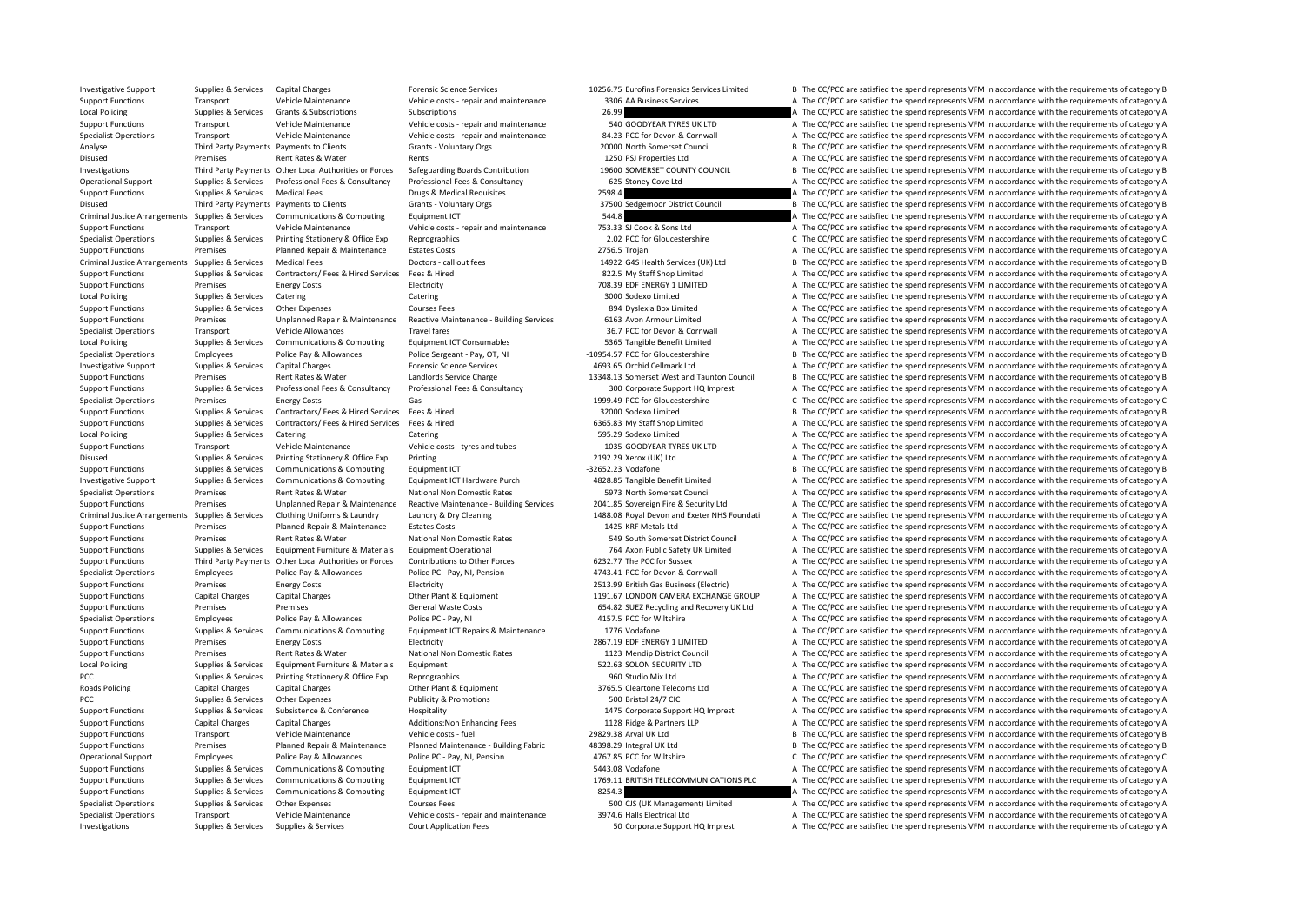Investigative Support Support Supporter Supporter Support Capital Charges Capital Charges Forensic Science Services (Forensic Science Services and the Support of Care and the CC/PCC are satisfied the spend represents VFM i Support Functions Transport Vehicle Maintenance Vehicle costs - repair and maintenance 3306 AA Business Services A The CC/PCC are satisfied the spend represents VFM in accordance with the requirements of category A Local Policing Supplies Services Grants & Subscriptions Subscriptions Subscriptions 26.99 A The CC/PCC are satisfied the spend represents VFM in accordance with the requirements of category A The CC/PCC are satisfied the s Support Functions Transport Vehicle Maintenance Vehicle costs repair and maintenance 540 GOODYEAR TYRES UK LTD A The CC/PCC are satisfied the spend represents VFM in accordance with the requirements of category A Vehicle o Specialist Operations Transport Vehicle Maintenance Vehicle costs - repair and maintenance 84.23 PCC for Devon & Cornwall A The CC/PCC are satisfied the spend represents VFM in accordance with the requirements of category Analyse Third Party Payments Payments to Clients Grants - Voluntary Orgs 20000 North Somerset Council B The CC/PCC are satisfied the spend represents VFM in accordance with the requirements of category B Disused Premises Rent Rates & Water Rents Rents Rents Rents 1250 PSJ Properties Ltd A The CC/PCC are satisfied the spend represents VFM in accordance with the requirements of category A Investigations Third Party Payments Other Local Authorities or Forces Safeguarding Boards Contribution 19600 SOMERSET COUNTY COUNCIL B The CC/PCC are satisfied the spend represents VEM in accordance with the requirements o Operational Support Supplies & Services Professional Fees & Consultancy Professional Fees & Consultancy Professional Fees & Consultancy Professional Fees & Consultancy Professional Fees & Consultancy Professional Fees & Co Support Functions Supplies & Services Medical Fees Drugs & Medical Requisites 2598.4 A The CC/PCC are satisfied the spend represents VFM in accordance with the requirements of category A Disused Third Party Payments Payments Payments Olients Grants - Voluntary Orgs Grants - Strantary Orgs 37500 Sedgemoor District Council B The CC/PCC are satisfied the spend represents VFM in accordance with the requirement Criminal Justice Arrangements Supplies & Services Communications & Computing Equipment ICT 544.8 A The CC/PCC are satisfied the spend represents VFM in accordance with the requirements of category A Support Functions Transport Vehicle Maintenance Vehicle costs - repair and maintenance 753.33 SJ Cook & Sons Ltd A The CC/PCC are satisfied the spend represents VFM in accordance with the requirements of category A Specialist Operations Supplies & Services Printing Stationery & Office Exp Reprographics 2.02 PCC for Gloucestershire C The CC/PCC are satisfied the spend represents VFM in accordance with the requirements of category C Support Functions Premises Planned Repair & Maintenance Estates Costs 2756.5 Trojan 2756.5 Trojan A The CC/PCC are satisfied the spend represents VFM in accordance with the requirements of category A Criminal Justice Arrangements Supplies & Services Medical Fees Doctors - call out fees 14922 G4S Health Services (UK) Ltd B The CC/PCC are satisfied the spend represents VFM in accordance with the requirements of category Support Functions Supplies & Services Contractors/ Fees & Hired Services Fees & Hired Services Fees & Hired 822.5 My Staff Shop Limited A The CC/PCC are satisfied the spend represents VFM in accordance with the requirement Support Functions Premises Energy Costs Electricity Electricity **Electricity** 708.39 EDF ENERGY 1 LIMITED A The CC/PCC are satisfied the spend represents VFM in accordance with the requirements of category A Local Policing Supplies & Services Catering Supplies Catering Catering Catering Catering Catering Catering Catering Supplies and Supplies A The CC/PCC are satisfied the spend represents VFM in accordance with the requireme Support Functions Supplies & Services Other Expenses Courses Fees 894 Dyslexia Box Limited A The CC/PCC are satisfied the spend represents VFM in accordance with the requirements of category A Support Functions Premises Unplanned Repair & Maintenance Reactive Maintenance - Building Services 6163 Avon Armour Limited A The CC/PCC are satisfied the spend represents VFM in accordance with the requirements of categor Specialist Operations Transport Vehicle Allowances Travel fares Travel fares 36.7 PCC for Devon & Cornwall A The CC/PCC are satisfied the spend represents VFM in accordance with the requirements of category A Local Policing Supplies & Services Communications & Computing Equipment ICT Consumables 5365 Tangible Benefit Limited A The CC/PCC are satisfied the spend represents VFM in accordance with the requirements of category A Specialist Operations Employees Police Pay & Allowances Police Sergeant - Pay, OT, NI – 10954.57 PCC for Gloucestershire B The CC/PCC are satisfied the spend represents VFM in accordance with the requirements of category B Investigative Support Supplies & Services Capital Charges A The CC/PCC are satisfied the spend represents VFM in accordance with the requirements of category A The CC/PCC are satisfied the spend represents VFM in accordanc Support Functions Premises Rent Rates & Water Landlords Service Charge 13348.13 Somerset West and Taunton Council B The CC/PCC are satisfied the spend represents VFM in accordance with the requirements of category B Support Functions Supplies & Services Professional Fees & Consultancy Professional Fees & Consultancy Professional Fees & Consultancy Professional Fees & Consultancy Professional Fees & Consultancy Professional Fees & Cons Specialist Operations Premises Energy Costs Gas Gas 1999.49 PCC for Gloucestershire C The CC/PCC are satisfied the spend represents VFM in accordance with the requirements of category C Support Functions Supplies & Services Contractors/ Fees & Hired Services Fees & Hired Services Fees & Hired 32000 Sodexo Limited B The CC/PCC are satisfied the spend represents VFM in accordance with the requirements of ca Support Functions Supplies & Services Contractors/ Fees & Hired Services Fees & Hired 6365.83 My Staff Shop Limited A The CC/PCC are satisfied the spend represents VFM in accordance with the requirements of category A Local Policing Supplies & Services Catering Catering Catering Catering Catering Catering Catering Catering Catering Supplies and Definited A The CC/PCC are satisfied the spend represents VFM in accordance with the requirem Support Functions Transport Vehicle Maintenance Vehicle costs – tyres and tubes 1035 GOODYEAR TYRES UK LTD A The CC/PCC are satisfied the spend represents VFM in accordance with the requirements of category A Disused Supplies & Services Printing Stationery & Office Exp Printing 2009 Printing 2009 2009.29 Xerox (UK) Ltd A The CC/PCC are satisfied the spend represents VFM in accordance with the requirements of category A Support Functions Supplies & Services Communications & Computing Equipment ICT - 32652.23 Vodafone - - 32652.23 Vodafone B The CC/PCC are satisfied the spend represents VFM in accordance with the requirements of category B Investigative Support Supplies & Services Communications & Computing Equipment ICT Hardware Purch 4828.85 Tangible Benefit Limited A The CC/PCC are satisfied the spend represents VFM in accordance with the requirements of Specialist Operations Premises Rent Rates Rent Rates National Non Domestic Rates 5973 North Somerset Council A The CC/PCC are satisfied the spend represents VFM in accordance with the requirements of category A Support Functions Premises Unplanned Repair & Maintenance Reactive Maintenance - Building Services 2041.85 Sovereign Fire & Security Ltd A The CC/PCC are satisfied the spend represents VFM in accordance with the requiremen Criminal Justice Arrangements Supplies & Services Clothing Uniforms & Laundry Laundry & Dry Cleaning Supplies Arrangements Clothing Uniforms & Laundry Laundry & Dry Cleaning 1488.08 Royal Devon and Exeter NHS Foundati A Th Support Functions Premises Planned Repair & Maintenance Estates Costs 1425 KRF Metals Ltd A The CC/PCC are satisfied the spend represents VFM in accordance with the requirements of category A Support Functions Premises Rent Rates & Water National Non Domestic Rates 549 South Somerset District Council A The CC/PCC are satisfied the spend represents VFM in accordance with the requirements of category A Supplies & Services Equipment Furniture & Materials Equipment Operational 764 Axon Public Safety UK Limited A The CC/PCC are satisfied the spend represents VFM in accordance with the requirements of category A Support Functions Third Party Payments Other Local Authorities or Forces Contributions to Other Forces 6232.77 The PCC for Sussex A The CC/PCC are satisfied the spend represents VFM in accordance with the requirements of c Specialist Operations Employees Police Pay & Allowances Police PC - Pay, NI, Pension 4743.41 PCC for Devon & Cornwall A The CC/PCC are satisfied the spend represents VFM in accordance with the requirements of category A Support Functions Premises Energy Costs Electricity Electricity 2513.99 British Gas Business (Electricity A The CC/PCC are satisfied the spend represents VFM in accordance with the requirements of category A Support Functions Capital Charges Capital Charges Other Plant & Equipment 1191.67 LONDON CAMERA EXCHANGE GROUP A The CC/PCC are satisfied the spend represents VFM in accordance with the requirements of category A Support Functions Premises Premises Premises Seneral Waste Costs 654.82 SUEZ Recycling and Recovery UK Ltd A The CC/PCC are satisfied the spend represents VFM in accordance with the requirements of category A Specialist Operations Employees Police Pay & Allowances Police PC - Pay, NI 4157.5 PCC for Wiltshire A The CC/PCC are satisfied the spend represents VFM in accordance with the requirements of category A Support Functions Supplies & Services Communications & Computing Foultment ICT Repairs & Maintenance 1776 Vodafone A The CC/PCC are satisfied the spend represents VFM in accordance with the requirements of category A Support Functions Premises Energy Costs Electricity Electricity **Electricity** 2867.19 EDF ENERGY 1 LIMITED A The CC/PCC are satisfied the spend represents VFM in accordance with the requirements of category A Support Functions Premises Rent Rates & Water National Non Domestic Rates 1123 Mendip District Council A The CC/PCC are satisfied the spend represents VFM in accordance with the requirements of category A Local Policing Supplies & Services Equipment Furniture & Materials Equipment 522.63 SOLON SECURITY LTD A The CC/PCC are satisfied the spend represents VFM in accordance with the requirements of category A PCC Supplies & Services Printing Stationery & Office Exp Reprographics 960 Studio Mix Ltd A The CC/PCC are satisfied the spend represents VFM in accordance with the requirements of category A Roads Policing Capital Charges Capital Charges Other Plant & Equipment 2765.5 Cleartone Telecoms Ltd A The CC/PCC are satisfied the spend represents VFM in accordance with the requirements of category A PCC Supplies & Services Other Expenses Publicity & Promotions Fublicity are a Supplied and the CC/PCC are satisfied the spend represents VFM in accordance with the requirements of category A Support Functions Supplies & Services Subsistence & Conference Hospitality Hospitality 1475 Corporate Support HQ Imprest A The CC/PCC are satisfied the spend represents VFM in accordance with the requirements of category A Support Functions Capital Charges Capital Charges Additions:Non Enhancing Fees 1128 Ridge & Partners LLP A The CC/PCC are satisfied the spend represents VFM in accordance with the requirements of category A Support Functions Transport Vehicle Maintenance Vehicle costs - fuel 29829.38 Arval UK Ltd B The CC/PCC are satisfied the spend represents VFM in accordance with the requirements of category B Support Functions Premises Planned Repair & Maintenance Planned Maintenance - Building Fabric 48398.29 Integral UK Ltd B The CC/PCC are satisfied the spend represents VFM in accordance with the requirements of category B Operational Support Employees Police Pay & Allowances Police PC - Pay, NI, Pension 4767.85 PCC for Wiltshire C The CC/PCC are satisfied the spend represents VFM in accordance with the requirements of category C Support Functions Supplies & Services Communications & Computing Faulipment ICT 5443.08 Vodafone 5443.08 Vodafone A The CC/PCC are satisfied the spend represents VFM in accordance with the requirements of category A Support Functions Supplies & Services Communications & Computing Equipment ICT 1769.11 BRITISH TELECOMMUNICATIONS PLC A The CC/PCC are satisfied the spend represents VFM in accordance with the requirements of category A Support Functions Supplies & Services Communications & Computing Equipment ICT 8254.3 A The CC/PCC are satisfied the spend represents VFM in accordance with the requirements of category A Specialist Operations Supplies & Services Other Expenses Supplies Courses Fees 500 CJS (UK Management) Limited A The CC/PCC are satisfied the spend represents VFM in accordance with the requirements of category A Specialist Operations Transport Vehicle Maintenance Vehicle costs repair and maintenance 3974.6 Halls Electrical Ltd A The CC/PCC are satisfied the spend represents VFM in accordance with the requirements of category A Investigations Supplies & Services Supplies & Services Court Application Fees 50 Corporate Support HQ Imprest A The CC/PCC are satisfied the spend represents VFM in accordance with the requirements of category A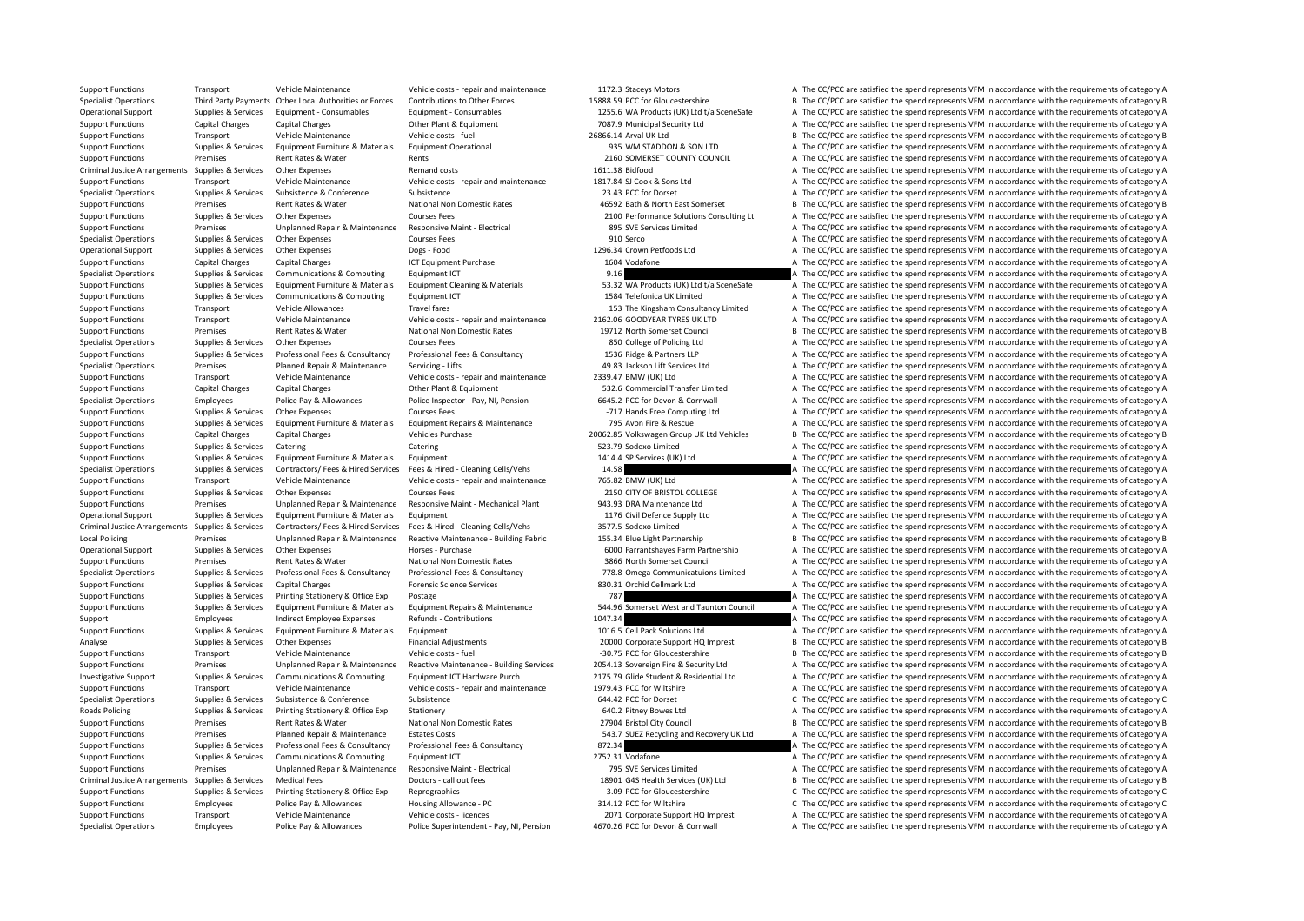Specialist Operations Employees Police Pay & Allowances Police Superintendent - Pay, NI. Pension 4670.26 PCC for Devon & Cornwall A The CC/PCC are satisfied the spend represents VFM in accordance with the requirements of c

Support Functions Transport Vehicle Maintenance Vehicle costs - repair and maintenance 1172.3 Staceys Motors A The CC/PCC are satisfied the spend represents VFM in accordance with the requirements of category A Specialist Operations Third Party Payments Other Local Authorities or Forces Contributions to Other Forces 15888.59 PCC for Gloucestershire B The CC/PCC are satisfied the spend represents VFM in accordance with the require Operational Support Supplies & Septices Foujoment Consumables Foujoment Consumables Functionally Consumables Consumables 12556 WA Products (IIK) Itd t/a SceneSafe A The CC/PCC are satisfied the spend represents VFM in acco Support Functions Capital Charges Capital Charges Capital Charges Other Plant & Equipment 7087.9 Municipal Security Ltd A The CC/PCC are satisfied the spend represents VFM in accordance with the requirements of category A Support Functions Transport Vehicle Maintenance Vehicle costs - fuel 26866.14 Arval UK Ltd B The CC/PCC are satisfied the spend represents VFM in accordance with the requirements of category B Support Functions Supplies & Services Equipment Furniture & Materials Equipment Operational 935 WM STADDON & SON LTD A The CC/PCC are satisfied the spend represents VFM in accordance with the requirements of category A Support Functions Premises Rent Rates & Water Rents Rents Rents 2160 SOMERSET COUNTY COUNCIL A The CC/PCC are satisfied the spend represents VFM in accordance with the requirements of category A Criminal Justice Arrangements Supplies & Services Other Expenses Remand costs Remand costs 1611.38 Bidfood A The CC/PCC are satisfied the spend represents VFM in accordance with the requirements of category A Support Functions Transport Vehicle Maintenance Vehicle costs - repair and maintenance 1817.84 SJ Cook & Sons Ltd A The CC/PCC are satisfied the spend represents VFM in accordance with the requirements of category A Specialist Operations Supplies & Services Subsistence Subsistence Subsistence Subsistence 23.43 PCC for Dorset A The CC/PCC are satisfied the spend represents VFM in accordance with the requirements of category A Support Functions Transitions Rent Rates & Water National Non Domestic Rates 46592 Bath & North East Somerset B The CC/PCC are satisfied the spend represents VFM in accordance with the requirements of category B Support Functions Supplies & Services Other Expenses 2007 Courses Fees 2100 Performance Solutions Consulting Lt A The CC/PCC are satisfied the spend represents VFM in accordance with the requirements of category A Support Functions Premises Unplanned Repair & Maintenance Responsive Maint ‐ Electrical 895 SVE Services Limited A The CC/PCC are satisfied the spend represents VFM in accordance with the requirements of category A Specialist Operations Supplies & Services Other Expenses Courses Fees Courses Fees 910 Serco A The CC/PCC are satisfied the spend represents VFM in accordance with the requirements of category A Operational Support Supplies & Services Other Expenses Dogs - Food 1296.34 Crown Petfoods Ltd A The CC/PCC are satisfied the spend represents VFM in accordance with the requirements of category A Support Functions Capital Charges Capital Charges ICT Equipment Purchase 1604 Vodafone A The CC/PCC are satisfied the spend represents VFM in accordance with the requirements of category A Specialist Operations Supplies & Services Communications & Computing Equipment ICT 9.16 9.16 A The CC/PCC are satisfied the spend represents VFM in accordance with the requirements of category A Support Functions Supplies & Services Equipment Furniture & Materials Equipment Cleaning & Materials Equipment Cleaning & Materials 53.32 WA Products (UK) Ltd t/a SceneSafe A The CC/PCC are satisfied the spend represents V Support Functions Supplies & Services Communications & Computing Equipment ICT 1584 Telefonica UK Limited A The CC/PCC are satisfied the spend represents VFM in accordance with the requirements of category A Support Functions Transport Vehicle Allowances Travel fares Travel fares 153 The Kingsham Consultancy Limited A The CC/PCC are satisfied the spend represents VFM in accordance with the requirements of category A Support Functions Transport Vehicle Maintenance Vehicle costs - repair and maintenance 2162.06 GOODYEAR TYRES UK LTD A The CC/PCC are satisfied the spend represents VFM in accordance with the requirements of category A Support Functions Premises Rent Rates & Water National Non Domestic Rates 19712 North Somerset Council B The CC/PCC are satisfied the spend represents VFM in accordance with the requirements of category B Specialist Operations Supplies & Services Other Expenses 6 Courses Fees 850 College of Policing Ltd A The CC/PCC are satisfied the spend represents VFM in accordance with the requirements of category A Support Functions Supplies & Services Professional Fees & Consultancy Professional Fees & Consultancy Professional Fees & Consultancy Professional Fees & Consultancy Professional Fees & Consultancy Professional Fees & Cons Specialist Operations Premises Planned Repair & Maintenance Servicing - Lifts 49.83 Jackson Lift Services Ltd A The CC/PCC are satisfied the spend represents VFM in accordance with the requirements of category A Support Functions Transport Vehicle Maintenance Vehicle costs - repair and maintenance 2339.47 BMW (UK) Ltd A The CC/PCC are satisfied the spend represents VFM in accordance with the requirements of category A Support Functions Capital Charges Capital Charges Other Plant & Equipment 532.6 Commercial Transfer Limited A The CC/PCC are satisfied the spend represents VFM in accordance with the requirements of category A Specialist Operations Employees Police Pay & Allowances Police Inspector - Pay, NI. Pension 6645,2 PCC for Devon & Cornwall A The CC/PCC are satisfied the spend represents VFM in accordance with the requirements of categor Support Functions Supplies & Services Other Expenses Courses Fees **Courses Fees** -717 Hands Free Computing Ltd A The CC/PCC are satisfied the spend represents VFM in accordance with the requirements of category A Support Functions Supplies & Services Equipment Furniture & Materials Equipment Repairs & Maintenance 795 Avon Fire & Rescue A The CC/PCC are satisfied the spend represents VFM in accordance with the requirements of catego Support Functions Capital Charges Capital Charges Vehicles Purchase 20062.85 Volkswagen Group UK Ltd Vehicles B The CC/PCC are satisfied the spend represents VFM in accordance with the requirements of category B Support Functions Supplies & Services Catering Catering Catering Catering Catering Catering Catering Catering S23.79 Sodexo Limited A The CC/PCC are satisfied the spend represents VFM in accordance with the requirements of Support Functions Supplies & Services Equipment Furniture & Materials Equipment 1414.4 SP Services (UK) Ltd A The CC/PCC are satisfied the spend represents VFM in accordance with the requirements of category A Specialist Operations Supplies & Services Contractors/ Fees & Hired Services Fees & Hired - Cleaning Cells/Vehs 14.58 A The CC/PCC are satisfied the spend represents VFM in accordance with the requirements of category A Support Functions Transport Vehicle Maintenance Vehicle costs - repair and maintenance 765.82 BMW (UK) Ltd A The CC/PCC are satisfied the spend represents VFM in accordance with the requirements of category A Support Functions Supplies & Services Other Expenses Courses Fees 2150 COLLEGE A The CC/PCC are satisfied the spend represents VFM in accordance with the requirements of category A Support Functions Premises Unplanned Repair & Maintenance Responsive Maint - Mechanical Plant 943.93 DRA Maintenance Ltd A The CC/PCC are satisfied the spend represents VFM in accordance with the requirements of category A Operational Support Supplies & Services Equipment Furniture & Materials Equipment 1176 Civil Defence Supply Ltd A The CC/PCC are satisfied the spend represents VFM in accordance with the requirements of category A Criminal Justice Arrangements Supplies & Services Contractors/Fees & Hired Services Fees & Hired Services Fees & Hired Services Fees & Hired Services Fees & Hired Services Services Fees & Hired Services Fees & Hired Servic Local Policing Premises Unplanned Repair & Maintenance Reactive Maintenance - Building Fabric 155.34 Blue Light Partnership Build Partnership B. The CC/PCC are satisfied the spend represents VFM in accordance with the requ Operational Support Supplies & Services Other Expenses Horses Purchase Horses Purchase 6000 Farrantshayes Farm Partnership A The CC/PCC are satisfied the spend represents VFM in accordance with the requirements of category Support Functions Premises Rent Rates & Water National Non Domestic Rates 3866 North Somerset Council A The CC/PCC are satisfied the spend represents VFM in accordance with the requirements of category A Supplies & Services Professional Fees & Consultancy Professional Fees & Consultancy Professional Fees & Consultancy Professional Fees & Consultancy Professional Fees & Consultancy Professional Fees & Consultancy 778.8 Omeg Support Functions Supplies & Services Capital Charges Forensic Science Services 830.31 Orchid Cellmark Ltd A The CC/PCC are satisfied the spend represents VFM in accordance with the requirements of category A Support Functions Supplies & Services Printing Stationery & Office Exp Postage Prostage 787 787 A The CC/PCC are satisfied the spend represents VFM in accordance with the requirements of category A Support Functions Supplies & Services Equipment Furniture & Materials Equipment Repairs & Maintenance 544.96 Somerset West and Taunton Council A The CC/PCC are satisfied the spend represents VFM in accordance with the requ Support Employees Indirect Employee Expenses Refunds - Contributions 1047.34 1147.34 A The CC/PCC are satisfied the spend represents VFM in accordance with the requirements of category A Support Functions Supplies & Services Foulpment Furniture & Materials Equipment 1016.5 Cell Pack Solutions Ltd A The CC/PCC are satisfied the spend represents VFM in accordance with the requirements of category A Analyse Supplies & Services Other Expenses Financial Adjustments 20000 Corporate Support HQ Imprest B The CC/PCC are satisfied the spend represents VFM in accordance with the requirements of category B Support Functions Transport Vehicle Maintenance Vehicle costs - fuel • 10.75 PCC for Gloucestershire B The CC/PCC are satisfied the spend represents VFM in accordance with the requirements of category B Support Functions Premises Unplanned Repair & Maintenance Reactive Maintenance - Building Services 2054.13 Sovereign Fire & Security Ltd A The CC/PCC are satisfied the spend represents VFM in accordance with the requiremen Investigative Support Supporter Supporter Supporter Supporter Communications & Computing Equipoment ICT Hardware Purch 2175.79 Glide Student & Residential Ltd A The CC/PCC are satisfied the spend represents VFM in accordan Support Functions Transport Vehicle Maintenance Vehicle costs - repair and maintenance 1979.43 PCC for Wiltshire A The CC/PCC are satisfied the spend represents VFM in accordance with the requirements of category A Specialist Operations Supplies & Services Subsistence Subsistence Subsistence Subsistence Subsistence Subsistence Subsistence C Subsistence C The CC/PCC are satisfied the spend represents VFM in accordance with the require Roads Policing Supplies & Services Printing Stationery & Office Exp Stationery Stationery exp Stationery and A The CC/PCC are satisfied the spend represents VFM in accordance with the requirements of category A Support Functions Premises Rent Rates & Water National Non Domestic Rates 27904 Bristol City Council B The CC/PCC are satisfied the spend represents VFM in accordance with the requirements of category B Support Functions Premises Planned Repair & Maintenance Estates Costs 543.7 SUEZ Recycling and Recovery UK Ltd A The CC/PCC are satisfied the spend represents VFM in accordance with the requirements of category A Support Functions Supplies & Services Professional Fees & Consultancy Professional Fees & Consultancy Professional Fees & Consultancy 872.34 A The CC/PCC are satisfied the spend represents VFM in accordance with the requir Support Functions Supplies & Services Communications & Computing Equipment ICT 2752.31 Vodafone A The CC/PCC are satisfied the spend represents VFM in accordance with the requirements of category A Support Functions Premises Unplanned Repair & Maintenance Responsive Maint ‐ Flectrical 795 SVE Services Limited A The CC/PCC are satisfied the spend represents VFM in accordance with the requirements of category A Criminal Justice Arrangements Supplies & Services Medical Fees Doctors - call out fees 18901 G4S Health Services (UK) Ltd B The CC/PCC are satisfied the spend represents VFM in accordance with the requirements of category Support Functions Supplies & Services Printing Stationery & Office Exp Reprographics and a station of category C The CC/PCC are satisfied the spend represents VFM in accordance with the requirements of category C and the r Support Functions Employees Police Pay & Allowances Housing Allowance - PC 314.12 PCC for Wiltshire C The CC/PCC are satisfied the spend represents VFM in accordance with the requirements of category C Support Functions Transport Vehicle Maintenance Vehicle costs - licences 2071 Corporate Support HQ Imprest A The CC/PCC are satisfied the spend represents VFM in accordance with the requirements of category A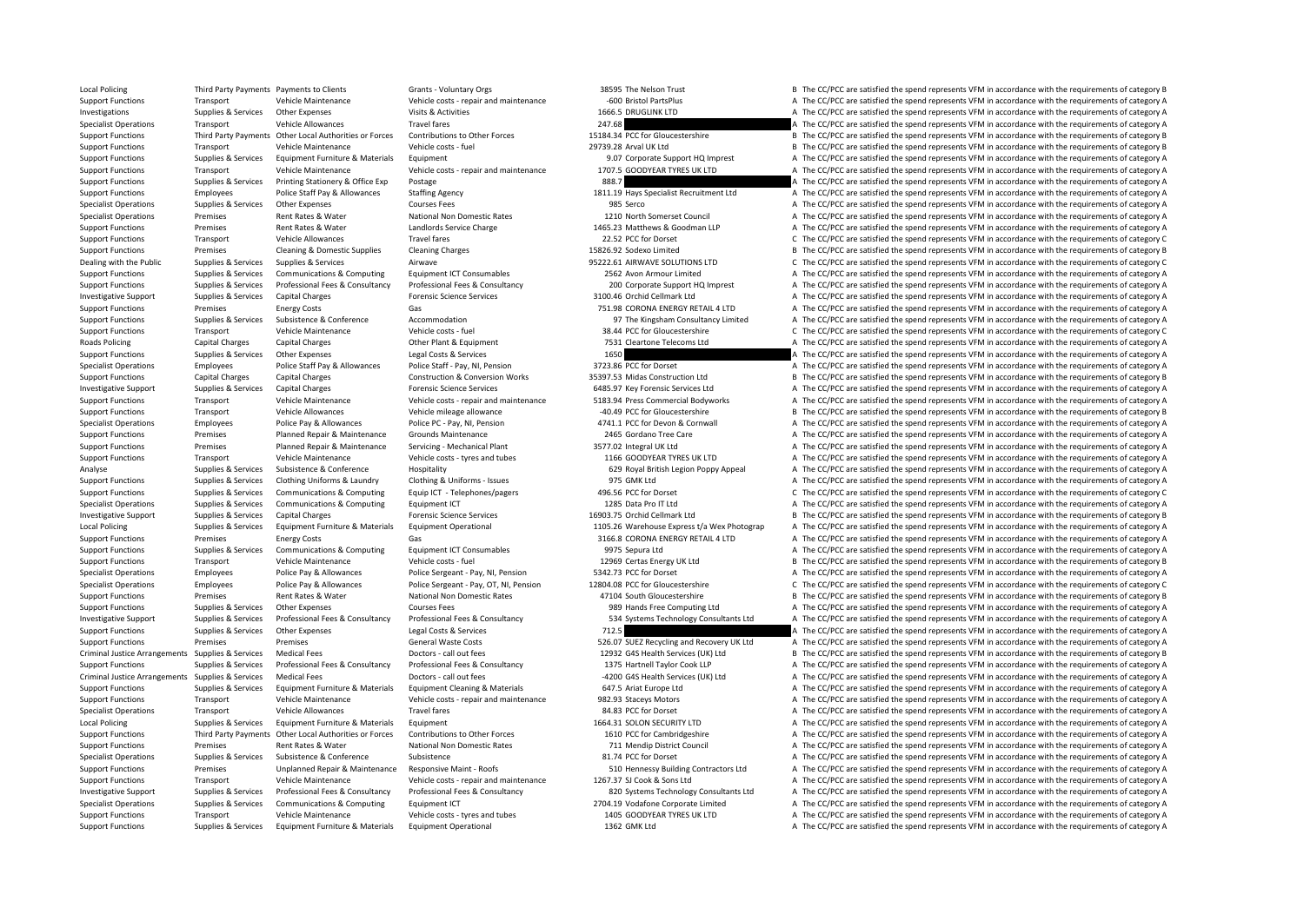Local Policing Third Party Payments Payments to Clients Same Grants - Voluntary Orgs 38595 The Nelson Trust B The CC/PCC are satisfied the spend represents VFM in accordance with the requirements of category B Support Functions Transport Vehicle Maintenance Vehicle costs - repair and maintenance - -600 Bristol PartsPlus A The CC/PCC are satisfied the spend represents VFM in accordance with the requirements of category A Investigations Supplies Services Other Expenses Visits & Activities 1666.5 DRUGLINK LTD A The CC/PCC are satisfied the spend represents VFM in accordance with the requirements of category A Specialist Operations Transport Vehicle Allowances Travel fares 247.68 A The CC/PCC are satisfied the spend represents VFM in accordance with the requirements of category A Support Functions Third Party Payments Other Local Authorities or Forces Contributions to Other Forces 15184.34 PCC for Gloucestershire B The CC/PCC are satisfied the spend represents VFM in accordance with the requirement Support Functions Transport Vehicle Maintenance Vehicle costs - fuel 29739.28 Arval UK Ltd B The CC/PCC are satisfied the spend represents VFM in accordance with the requirements of category B Support Functions Supplies & Services Equipment Furniture & Materials Equipment 9.07 Corporate Support HQ Imprest A The CC/PCC are satisfied the spend represents VFM in accordance with the requirements of category A Support Functions Transport Vehicle Maintenance Vehicle costs - repair and maintenance 1707.5 GOODYEAR TYRES UK LTD A The CC/PCC are satisfied the spend represents VFM in accordance with the requirements of category A Support Functions Supplies & Services Printing Stationery & Office Exp Postage 888.7 A The CC/PCC are satisfied the spend represents VFM in accordance with the requirements of category A Support Functions Employees Police Staff Pay & Allowances Staffing Agency 1811.19 Hays Specialist Recruitment Ltd A The CC/PCC are satisfied the spend represents VFM in accordance with the requirements of category A Specialist Operations Supplies & Services Other Expenses Courses Fees Courses Fees 985 Serco A The CC/PCC are satisfied the spend represents VFM in accordance with the requirements of category A Specialist Operations Premises Rent Rates & Water National Non Domestic Rates 1210 North Somerset Council A The CC/PCC are satisfied the spend represents VFM in accordance with the requirements of category A Support Functions Premises Rent Rates & Water Landlords Service Charge 1465.23 Matthews & Goodman LLP A The CC/PCC are satisfied the spend represents VFM in accordance with the requirements of category A Support Functions Transport Vehicle Allowances Travel fares Travel fares 22.52 PCC for Dorset C The CC/PCC are satisfied the spend represents VFM in accordance with the requirements of category C Support Functions Premises Cleaning & Domestic Supplies Cleaning Charges 15826.92 Sodexo Limited B The CC/PCC are satisfied the spend represents VFM in accordance with the requirements of category B Dealing with the Public Supplies & Services Supplies & Services Airwave Airwave 95222.61 AIRWAVE SOLUTIONS LTD C The CC/PCC are satisfied the spend represents VFM in accordance with the requirements of category C Support Functions Supplies & Services Communications & Computing Equipment ICT Consumables 2562 Avon Armour Limited A The CC/PCC are satisfied the spend represents VFM in accordance with the requirements of category A Support Functions Supplies & Services Professional Fees & Consultancy Professional Fees & Consultancy Professional Fees & Consultancy Professional Fees & Consultancy Professional Fees & Consultancy Professional Fees & Cons Investigative Support Supplies & Services Capital Charges A The CC/PCC are satisfied the spend represents VFM in accordance with the requirements of category A The CC/PCC are satisfied the spend represents VFM in accordanc Support Functions Premises Energy Costs Gas 751.98 CORONA ENERGY RETAIL 4 LTD A The CC/PCC are satisfied the spend represents VFM in accordance with the requirements of category A Support Functions Supplies & Services Subsistence & Conference Accommodation A Commodation 97 The Kingsham Consultancy Limited A The CC/PCC are satisfied the spend represents VFM in accordance with the requirements of cate Support Functions Transport Vehicle Maintenance Vehicle costs - fuel 38.44 PCC for Gloucestershire C The CC/PCC are satisfied the spend represents VFM in accordance with the requirements of category C Roads Policing Capital Charges Capital Charges Other Plant & Equipment 7531 Cleartone Telecoms Ltd A The CC/PCC are satisfied the spend represents VFM in accordance with the requirements of category A Support Functions Supplies Services Other Expenses Legal Costs & Services 1650 1650 A The CC/PCC are satisfied the spend represents VFM in accordance with the requirements of category A Specialist Operations Employees Police Staff Pay & Allowances Police Staff - Pay, NI, Pension 3723.86 PCC for Dorset A The CC/PCC are satisfied the spend represents VFM in accordance with the requirements of category A Support Functions Capital Charges Capital Charges Construction & Conversion Works 35397.53 Midas Construction Ltd B The CC/PCC are satisfied the spend represents VFM in accordance with the requirements of category B Investigative Support Supplies & Services Capital Charges Forensic Science Services 6485.97 Key Forensic Services Ltd A The CC/PCC are satisfied the spend represents VFM in accordance with the requirements of category A Support Functions Transport Vehicle Maintenance Vehicle costs - repair and maintenance 5183.94 Press Commercial Bodyworks A The CC/PCC are satisfied the spend represents VFM in accordance with the requirements of category Support Functions Transport Vehicle Allowances Vehicle mileage allowance 40.49 PCC for Gloucestershire B The CC/PCC are satisfied the spend represents VFM in accordance with the requirements of category B Specialist Operations Employees Police Pay & Allowances Police PC - Pay, NI, Pension 4741.1 PCC for Devon & Cornwall A The CC/PCC are satisfied the spend represents VFM in accordance with the requirements of category A Support Functions Premises Planned Repair & Maintenance Grounds Maintenance 2465 Gordano Tree Care A The CC/PCC are satisfied the spend represents VFM in accordance with the requirements of category A Support Functions Premises Planned Repair & Maintenance Servicing - Mechanical Plant 3577.02 Integral UK Itd A The CC/PCC are satisfied the spend represents VFM in accordance with the requirements of category A Support Functions Transport Vehicle Maintenance Vehicle costs - tyres and tubes 1166 GOODYEAR TYRES UK LTD A The CC/PCC are satisfied the spend represents VFM in accordance with the requirements of category A Analyse Supplies & Services Subsistence & Conference Hospitality Hospitality 629 Royal British Legion Poppy Appeal A The CC/PCC are satisfied the spend represents VFM in accordance with the requirements of category A Support Functions Supplies & Services Clothing Uniforms & Laundry Clothing & Uniforms - Issues 975 GMK Ltd A The CC/PCC are satisfied the spend represents VFM in accordance with the requirements of category A Support Functions Supplies & Services Communications & Computing Equip ICT - Telephones/pagers 496.56 PCC for Dorset C The CC/PCC are satisfied the spend represents VFM in accordance with the requirements of category C Specialist Operations Supplies & Services Communications & Computing Equipment ICT 1285 Data Pro IT Ltd A The CC/PCC are satisfied the spend represents VFM in accordance with the requirements of category A Investigative Support Supplies & Services Capital Charges Forensic Science Services 16903.75 Orchid Cellmark Ltd B The CC/PCC are satisfied the spend represents VFM in accordance with the requirements of category B Local Policing Supplies & Services Equipment Furniture & Materials Equipment Operational 1105.26 Warehouse Express t/a Wex Photograp A The CC/PCC are satisfied the spend represents VFM in accordance with the requirements o Support Functions Premises Energy Costs Gas Gas 3166.8 CORONA ENERGY RETAIL 4 LTD A The CC/PCC are satisfied the spend represents VFM in accordance with the requirements of category A Support Functions Supplies & Services Communications & Computing Equipment ICT Consumables 9975 Sepura Ltd A The CC/PCC are satisfied the spend represents VFM in accordance with the requirements of category A Support Functions Transport Vehicle Maintenance Vehicle costs - fuel 12969 Certas Energy UK Ltd B The CC/PCC are satisfied the spend represents VFM in accordance with the requirements of category B Specialist Operations Employees Police Pay & Allowances Police Sergeant - Pay, NI, Pension 5342.73 PCC for Dorset A The CC/PCC are satisfied the spend represents VFM in accordance with the requirements of category A Specialist Operations Employees Police Pay & Allowances Police Sergeant - Pay, OT, NI, Pension 12804.08 PCC for Gloucestershire C The CC/PCC are satisfied the spend represents VFM in accordance with the requirements of cat Support Functions Premises Rent Rates & Water National Non Domestic Rates 47104 South Gloucestershire B The CC/PCC are satisfied the spend represents VFM in accordance with the requirements of category B Support Functions Supplies & Services Other Expenses Courses Fees Courses Fees 989 Hands Free Computing Ltd A The CC/PCC are satisfied the spend represents VFM in accordance with the requirements of category A Investigative Support Supplies & Services Professional Fees & Consultancy Professional Fees & Consultancy Professional Fees & Consultancy Professional Fees & Consultancy Professional Fees & Consultancy S34 Systems Technolo Support Functions Supplies & Services Other Expenses Legal Costs & Services 712.5 A The CC/PCC are satisfied the spend represents VFM in accordance with the requirements of category A Support Functions Premises Premises Premises Support General Waste Costs 526.07 SUEZ Recycling and Recovery UK Ltd A The CC/PCC are satisfied the spend represents VFM in accordance with the requirements of category A Criminal Justice Arrangements Supplies & Services Medical Fees Doctors - call out fees 12932 G4S Health Services (UK) Ltd B The CC/PCC are satisfied the spend represents VFM in accordance with the requirements of category Support Functions Supplies & Services Professional Fees & Consultancy Professional Fees & Consultancy Professional Fees & Consultancy Professional Fees & Consultancy Professional Fees & Consultancy 1375 Hartnell Taylor Coo Criminal Justice Arrangements Supplies & Services Medical Fees Doctors - call out fees **Category A** The CC/PCC are satisfied the spend represents VFM in accordance with the requirements of category A Supplies & Services Equipment Furniture & Materials Equipment Cleaning & Materials Materials 647.5 Ariat Europe Ltd Arian Arian Arian Arian Arian Arian Arian Arian Arian Arian Arian Arian Arian Arian Arian Arian Arian Aria Support Functions Transport Vehicle Maintenance Vehicle costs - repair and maintenance 982.93 Staceys Motors A The CC/PCC are satisfied the spend represents VFM in accordance with the requirements of category A Specialist Operations Transport Vehicle Allowances Travel fares Travel fares and the SA.83 PCC for Dorset A The CC/PCC are satisfied the spend represents VFM in accordance with the requirements of category A Local Policing Supplies & Services Equipment Furniture & Materials Equipment 1664.31 SOLON SECURITY LTD A The CC/PCC are satisfied the spend represents VFM in accordance with the requirements of category A Support Functions Third Party Payments Other Local Authorities or Forces Contributions to Other Forces 1610 PCC for Cambridgeshire A The CC/PCC are satisfied the spend represents VFM in accordance with the requirements of Support Functions Premises Rent Rates & Water National Non Domestic Rates 711 Mendip District Council A The CC/PCC are satisfied the spend represents VFM in accordance with the requirements of category A Specialist Operations Supplies & Services Subsistence Subsistence Subsistence Subsistence Subsistence Subsistence Subsistence Subsistence Subsistence and the CC for Dorset A The CC/PCC are satisfied the spend represents VF Support Functions Premises Unplanned Repair & Maintenance Responsive Maint - Roofs 510 Hennessy Building Contractors Ltd A The CC/PCC are satisfied the spend represents VFM in accordance with the requirements of category A Support Functions Transport Vehicle Maintenance Vehicle costs - repair and maintenance 1267.37 SJ Cook & Sons Ltd A The CC/PCC are satisfied the spend represents VFM in accordance with the requirements of category A Investigative Support Supplies & Services Professional Fees & Consultancy Professional Fees & Consultancy Professional Fees & Consultancy Professional Fees & Consultancy Professional Fees & Consultancy Professional Fees & Specialist Operations Supplies & Services Communications & Computing Equipment ICT 2704.19 Vodafone Corporate Limited A The CC/PCC are satisfied the spend represents VFM in accordance with the requirements of category A Support Functions Transport Vehicle Maintenance Vehicle costs - tyres and tubes 1405 GOODYEAR TYRES UK LTD A The CC/PCC are satisfied the spend represents VFM in accordance with the requirements of category A Support Functions Supplies & Services Equipment Furniture & Materials Equipment Operational 1362 GMK Ltd A The CC/PCC are satisfied the spend represents VFM in accordance with the requirements of category A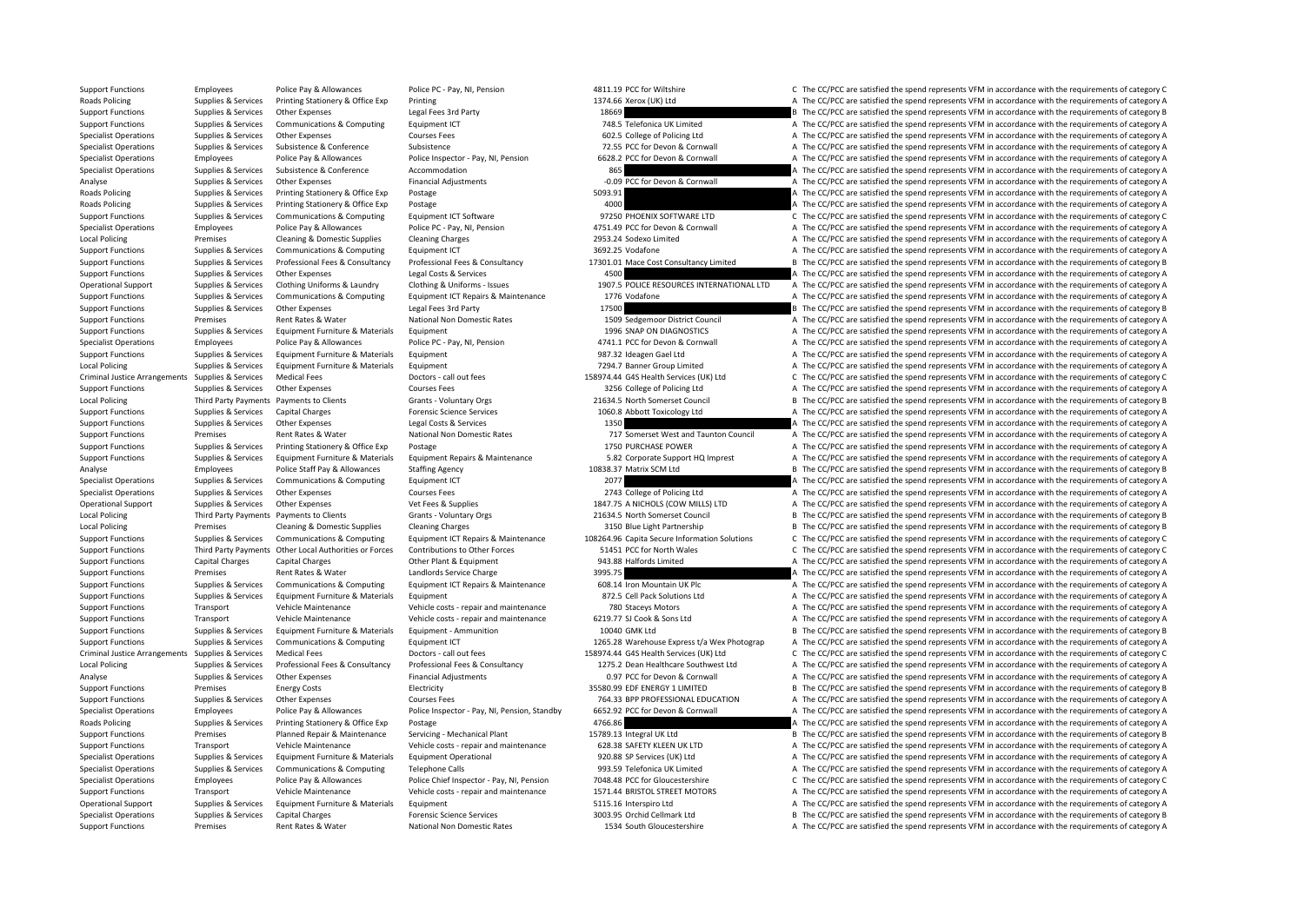Support Functions Employees Police Pay & Allowances Police PC - Pay, NI, Pension 4811.19 PCC for Wiltshire C The CC/PCC are satisfied the spend represents VFM in accordance with the requirements of category C Roads Policing Supplies & Services Printing Stationery & Office Exp Printing 1374.66 Xerox (UK) Ltd A The CC/PCC are satisfied the spend represents VFM in accordance with the requirements of category A Support Functions Supplies Services Other Expenses Legal Fees 3rd Party 18669 B The CC/PCC are satisfied the spend represents VFM in accordance with the requirements of category B Support Functions Supporters Communications & Communications Equipment ICT 748.5 Telefonica UK Limited A The CC/PCC are satisfied the spend represents VFM in accordance with the requirements of category A Specialist Operations Supplies & Services Other Expenses Courses Fees 602.5 College of Policing Ltd A The CC/PCC are satisfied the spend represents VFM in accordance with the requirements of category A Specialist Operations Supplies & Services Subsistence & Conference Subsistence Subsistence 72.55 PCC for Devon & Cornwall A The CC/PCC are satisfied the spend represents VFM in accordance with the requirements of category Specialist Operations Employees Police Pay & Allowances Police Inspector - Pay, NI, Pension 6628.2 PCC for Devon & Cornwall A The CC/PCC are satisfied the spend represents VFM in accordance with the requirements of categor Specialist Operations Supplies & Services Subsistence B.Conference Accommodation and a Service and a Service and a The CC/PCC are satisfied the spend represents VFM in accordance with the requirements of category A Analyse Supplies & Services Other Expenses Financial Adjustments Financial Adjustments – -0.09 PCC for Devon & Cornwall A The CC/PCC are satisfied the spend represents VFM in accordance with the requirements of category A Roads Policing Supplies & Services Printing Stationery & Office Exp Postage Figure 5093.91 A The CC/PCC are satisfied the spend represents VFM in accordance with the requirements of category A Roads Policing Supplies A Services Printing Stationery & Office Exp Postage Prostage Printing Stationery & Office Exp Postage 4000 4000 A The CC/PCC are satisfied the spend represents VFM in accordance with the requirement Support Functions Supplies & Services Communications & Computing Equipment ICT Software 97250 PHOENIX SOFTWARE LTD C/PCC are satisfied the spend represents VFM in accordance with the requirements of category C Specialist Operations Employees Police Pay & Allowances Police PC - Pay, NI, Pension 4751.49 PCC for Devon & Cornwall A The CC/PCC are satisfied the spend represents VFM in accordance with the requirements of category A Local Policing Premises Cleaning & Domestic Supplies Cleaning Charges 2953.24 Sodexo Limited A The CC/PCC are satisfied the spend represents VFM in accordance with the requirements of category A Support Functions Supplies & Services Communications & Computing Equipment ICT 3692.25 Vodafone 3692.25 Vodafone A The CC/PCC are satisfied the spend represents VFM in accordance with the requirements of category A Support Functions Supplies & Services Professional Fees & Consultancy Professional Fees & Consultancy Professional Fees & Consultancy Consultancy 17301.01 Mace Cost Consultancy Limited B The CC/PCC are satisfied the spend Support Functions Supplies & Services Other Expenses Legal Costs & Services 4500 A The CC/PCC are satisfied the spend represents VFM in accordance with the requirements of category A Operational Support Supplies & Services Clothing Uniforms & Laundry Clothing & Uniforms - ISSUES POLICE RESOURCES INTERNATIONAL LTD A The CC/PCC are satisfied the spend represents VFM in accordance with the requirements of Support Functions Supplies & Services Communications & Computing Equipment ICT Repairs & Maintenance 1776 Vodafone A The CC/PCC are satisfied the spend represents VFM in accordance with the requirements of category A Support Functions Supplies & Services Other Expenses Legal Fees 3rd Party 17500 17500 B The CC/PCC are satisfied the spend represents VFM in accordance with the requirements of category B Support Functions Premises Rent Rates & Water National Non Domestic Rates 1509 Sedgemoor District Council A The CC/PCC are satisfied the spend represents VFM in accordance with the requirements of category A Support Functions Supplies & Services Equipment Furniture & Materials Equipment 1996 SNAP ON DIAGNOSTICS A The CC/PCC are satisfied the spend represents VFM in accordance with the requirements of category A Specialist Operations Employees Police Pay & Allowances Police PC - Pay, NI, Pension 4741.1 PCC for Devon & Cornwall A The CC/PCC are satisfied the spend represents VFM in accordance with the requirements of category A Support Functions Supplies & Services Faultoment Furniture & Materials Faultoment 987.32 Ideagen Gael Ltd A The CC/PCC are satisfied the spend represents VFM in accordance with the requirements of category A Local Policing Supplies & Services Equipment Furniture & Materials Equipment 1994.7 Banner Group Limited A The CC/PCC are satisfied the spend represents VFM in accordance with the requirements of category A Criminal Justice Arrangements Supplies & Services Medical Fees Doctors - call out fees Doctors - call out fees Doctors - call out fees 158974.44 G4S Health Services (UK) Ltd C The CC/PCC are satisfied the spend represents Support Functions Supplies & Services Other Expenses 2001 Courses Fees 3256 College of Policing Ltd A The CC/PCC are satisfied the spend represents VFM in accordance with the requirements of category A Local Policing Third Party Payments Payments to Clients Grants - Voluntary Orgs 21634.5 North Somerset Council B The CC/PCC are satisfied the spend represents VFM in accordance with the requirements of category B Support Functions Supplies & Services Capital Charges Forensic Science Services 1060.8 Abbott Toxicology Ltd A The CC/PCC are satisfied the spend represents VFM in accordance with the requirements of category A Support Functions Supplies & Services Other Expenses Legal Costs & Services 1350 1350 A The CC/PCC are satisfied the spend represents VFM in accordance with the requirements of category A Support Functions Premises Rent Rates & Water National Non Domestic Rates 717 Somerset West and Taunton Council A The CC/PCC are satisfied the spend represents VFM in accordance with the requirements of category A Support Functions Supplies & Services Printing Stationery & Office Exp Postage 1750 PURCHASE POWER 1750 PURCHASE POWER A The CC/PCC are satisfied the spend represents VFM in accordance with the requirements of category A Supplies & Services Equipment Furniture & Materials Equipment Repairs & Maintenance 5.82 Corporate Support HQ Imprest A The CC/PCC are satisfied the spend represents VFM in accordance with the requirements of category A Analyse Employees Police Staff Pay & Allowances Staffing Agency 10838.37 Matrix SCM Ltd B The CC/PCC are satisfied the spend represents VFM in accordance with the requirements of category B Specialist Operations Supplies & Services Communications & Computing Equipment ICT 2077 2077 A The CC/PCC are satisfied the spend represents VFM in accordance with the requirements of category A Specialist Operations Supplies & Services Other Expenses Courses Fees 2743 College of Policing Ltd A The CC/PCC are satisfied the spend represents VFM in accordance with the requirements of category A Operational Support Supplies & Services Other Expenses Vet Fees & Supplies Vet Fees & Supplies 1847.75 A NICHOLS (COW MILLS) LTD A The CC/PCC are satisfied the spend represents VFM in accordance with the requirements of ca Local Policing Third Party Payments Payments to Clients Grants - Voluntary Orgs 21634.5 North Somerset Council B The CC/PCC are satisfied the spend represents VFM in accordance with the requirements of category B Local Policing Premises Cleaning & Domestic Supplies Cleaning Charges 2150 Blue Light Partnership B The CC/PCC are satisfied the spend represents VFM in accordance with the requirements of category B Support Functions Supplies & Services Communications & Computing Equipment ICT Repairs & Maintenance 108264.96 Capita Secure Information Solutions C The CC/PCC are satisfied the spend represents VFM in accordance with the Support Functions Third Party Payments Other Local Authorities or Forces Contributions to Other Forces 51451 PCC for North Wales C The CC/PCC are satisfied the spend represents VFM in accordance with the requirements of ca Support Functions Capital Charges Capital Charges Other Plant & Equipment 943.88 Halfords Limited A The CC/PCC are satisfied the spend represents VFM in accordance with the requirements of category A Support Functions Premises Rent Rates & Water Landlords Service Charge 3995.75 3995.75 A The CC/PCC are satisfied the spend represents VFM in accordance with the requirements of category A Support Functions Supplies & Services Communications & Computing Equipment ICT Repairs & Maintenance 608.14 Iron Mountain UK PIc A The CC/PCC are satisfied the spend represents VFM in accordance with the requirements of ca Support Functions Supplies & Services Equipment Furniture & Materials Equipment 872.5 Cell Pack Solutions Ltd A The CC/PCC are satisfied the spend represents VFM in accordance with the requirements of category A Support Functions Transport Vehicle Maintenance Vehicle costs - repair and maintenance 780 Staceys Motors A The CC/PCC are satisfied the spend represents VFM in accordance with the requirements of category A Support Functions Transport Vehicle Maintenance Vehicle costs - repair and maintenance 6219.77 SJ Cook & Sons Ltd A The CC/PCC are satisfied the spend represents VFM in accordance with the requirements of category A Support Functions Supplies & Services Foulpment Furniture & Materials Equipment - Ammunition 10040 GMK Ltd B The CC/PCC are satisfied the spend represents VFM in accordance with the requirements of category B Support Functions Supplies & Services Communications & Computing Equipment ICT 1265.28 Warehouse Express t/a Wex Photograp A The CC/PCC are satisfied the spend represents VFM in accordance with the requirements of category Criminal Justice Arrangements Supplies & Services Medical Fees Doctors - call out fees Doctors - call out fees Doctors - call out fees 158974.44 G4S Health Services (UK) Ltd C The CC/PCC are satisfied the spend represents Local Policing Supplies & Services Professional Fees & Consultancy Professional Fees & Consultancy Professional Fees & Consultancy Professional Fees & Consultancy Professional Fees & Consultancy Professional Fees & Consult Analyse Supplies & Services Other Expenses Financial Adjustments Cornects Only PCC for Devon & Cornwall A The CC/PCC are satisfied the spend represents VFM in accordance with the requirements of category A Support Functions Premises Energy Costs Electricity Electricity 35580.99 EDF ENERGY 1 LIMITED B The CC/PCC are satisfied the spend represents VFM in accordance with the requirements of category B Support Functions Supplies & Services Other Expenses Courses Fees Courses Fees 764.33 BPP PROFESSIONAL EDUCATION A The CC/PCC are satisfied the spend represents VFM in accordance with the requirements of category A Specialist Operations Employees Police Pay & Allowances Police Inspector - Pay, NI, Pension, Standby 6652.92 PCC for Devon & Cornwall A The CC/PCC are satisfied the spend represents VFM in accordance with the requirements Roads Policing Supplies & Services Printing Stationery & Office Exp Postage Printing Stationery & Office Exp Postage 4766.86 4766.86 A The CC/PCC are satisfied the spend represents VFM in accordance with the requirements o Support Functions Premises Planned Repair & Maintenance Servicing - Mechanical Plant 15789.13 Integral UK Ltd B The CC/PCC are satisfied the spend represents VFM in accordance with the requirements of category B Support Functions Transport Vehicle Maintenance Vehicle costs - repair and maintenance 628.38 SAFETY KLEEN UK LTD A The CC/PCC are satisfied the spend represents VFM in accordance with the requirements of category A Supplies & Services Equipment Furniture & Materials Equipment Operational 920.88 SP Services (UK) Ltd A The CC/PCC are satisfied the spend represents VFM in accordance with the requirements of category A Specialist Operations Supplies & Services Communications & Computing Telephone Calls 993.59 Telefonica UK Limited A The CC/PCC are satisfied the spend represents VFM in accordance with the requirements of category A Specialist Operations Employees Police Pay & Allowances Police Chief Inspector - Pay, NI, Pension 7048.48 PCC for Gloucestershire C The CC/PCC are satisfied the spend represents VFM in accordance with the requirements of c Support Functions Transport Vehicle Maintenance Vehicle costs - repair and maintenance 1571.44 BRISTOL STREET MOTORS A The CC/PCC are satisfied the spend represents VFM in accordance with the requirements of category A Operational Support Supplies & Services Equipment Furniture & Materials Equipment Equipment 5115.16 Interspiro Ltd A The CC/PCC are satisfied the spend represents VFM in accordance with the requirements of category A Specialist Operations Supplies & Services Capital Charges Forensic Science Services 3003.95 Orchid Cellmark Ltd B The CC/PCC are satisfied the spend represents VFM in accordance with the requirements of category B Support Functions Premises Rent Rates & Water National Non Domestic Rates 1534 South Gloucestershire A The CC/PCC are satisfied the spend represents VFM in accordance with the requirements of category A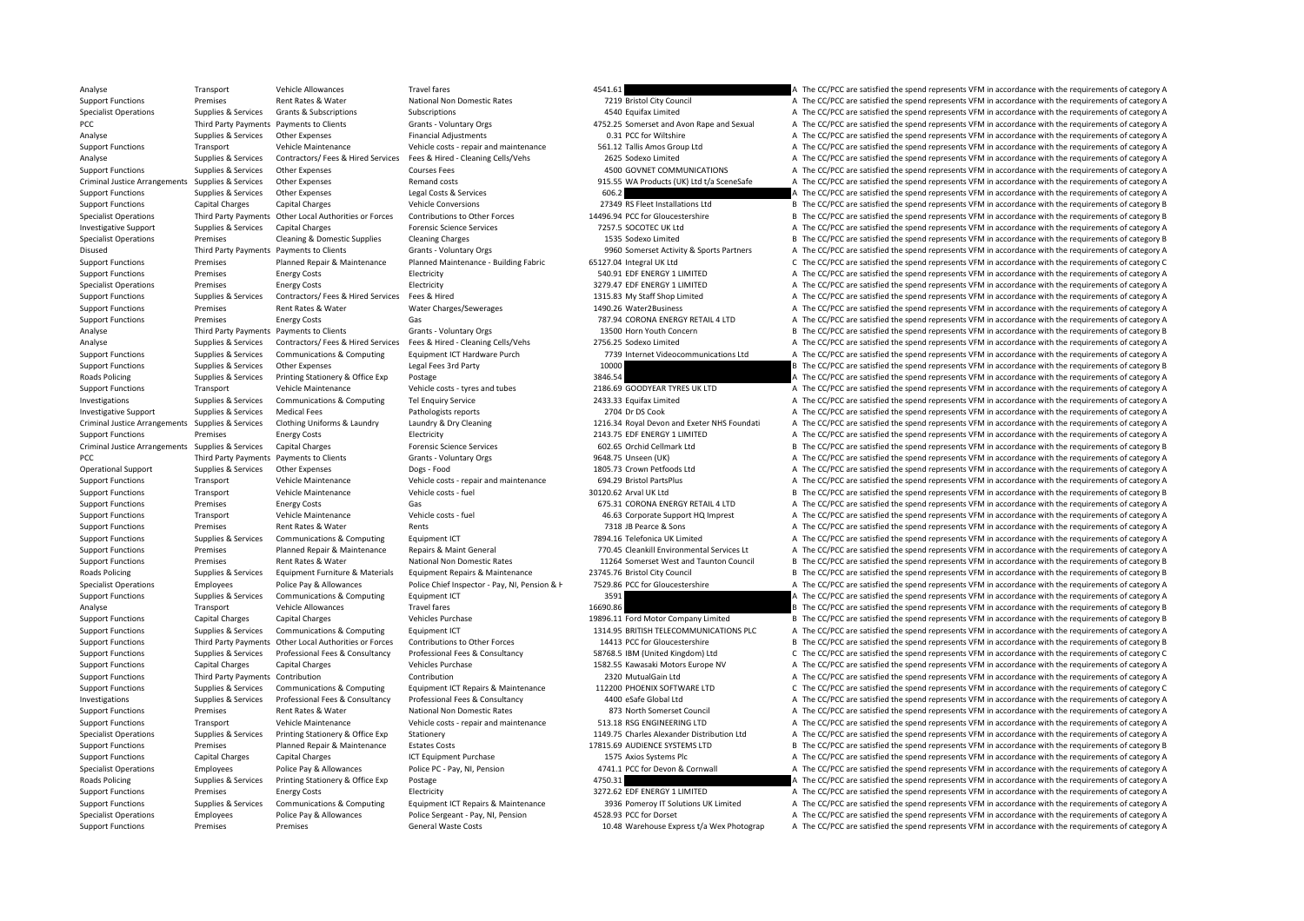Analyse Transport Vehicle Allowances Travel fares Travel fares 4541.61 A The CC/PCC are satisfied the spend represents VFM in accordance with the requirements of category A Support Functions Premises Rent Rates & Water National Non Domestic Rates 7219 Bristol City Council A The CC/PCC are satisfied the spend represents VFM in accordance with the requirements of category A Specialist Operations Supplies Services Grants & Subscriptions Subscriptions Subscriptions Subscriptions A The CC/PCC are satisfied the spend represents VFM in accordance with the requirements of category A The CC/PCC are PCC Third Party Payments Payments Payments Clients Grants - Voluntary Orgs 4752.25 Somerset and Avon Rape and Sexual A The CC/PCC are satisfied the spend represents VFM in accordance with the requirements of category A Analyse Supplies & Services Other Expenses Financial Adjustments 6.31 PCC for Wiltshire A The CC/PCC are satisfied the spend represents VFM in accordance with the requirements of category A Support Functions Transport Vehicle Maintenance Vehicle costs - repair and maintenance 561.12 Tallis Amos Group Ltd A The CC/PCC are satisfied the spend represents VFM in accordance with the requirements of category A Analyse Supplies & Services Contractors/ Fees & Hired Services Fees & Hired - Cleaning Cells/Vehs 2625 Sodexo Limited A The CC/PCC are satisfied the spend represents VFM in accordance with the requirements of category A Support Functions Supplies & Services Other Expenses Courses Fees Courses Fees 4500 GOVNET COMMUNICATIONS A The CC/PCC are satisfied the spend represents VFM in accordance with the requirements of category A Criminal Justi Criminal Justice Arrangements Supplies & Services Other Expenses Remand costs Remand costs 915.55 WA Products (UK) Ltd t/a SceneSafe A The CC/PCC are satisfied the spend represents VFM in accordance with the requirements o Support Functions Supplies & Services Other Expenses Legal Costs & Services 606.2 A The CC/PCC are satisfied the spend represents VFM in accordance with the requirements of category A Support Functions Capital Charges Capital Charges Capital Charges Capital Charges Vehicle Conversions Vehicle Conversions 27349 RS Fleet Installations Ltd B The CC/PCC are satisfied the spend represents VFM in accordance w Specialist Operations Third Party Payments Other Incal Authorities or Forces Contributions to Other Forces 14496 94 PC for Glourestershire R The CC/PCC are satisfied the spend represents VFM in accordance with the requirem Investigative Support Supplies & Services Capital Charges Forensic Science Services 7257.5 SOCOTEC UK Ltd A The CC/PCC are satisfied the spend represents VFM in accordance with the requirements of category A Specialist Operations Premises Cleaning & Domestic Supplies Cleaning Charges 1535 Sodexo Limited B The CC/PCC are satisfied the spend represents VFM in accordance with the requirements of category B Disused Third Party Payments Payments to Clients Grants - Voluntary Orgs 9960 Somerset Activity & Sports Partners A The CC/PCC are satisfied the spend represents VFM in accordance with the requirements of category A Support Functions Premises Planned Repair & Maintenance Planned Maintenance - Building Fabric 65127.04 Integral UK Ltd C The CC/PCC are satisfied the spend represents VFM in accordance with the requirements of category C Support Functions Premises Energy Costs Electricity Electricity Electricity 540.91 EDF ENERGY 1 LIMITED A The CC/PCC are satisfied the spend represents VFM in accordance with the requirements of category A Specialist Operations Premises Energy Costs Electricity Electricity Electricity and the Samuel and the CC/PCC are satisfied the spend represents VFM in accordance with the requirements of category A Support Functions Supplies & Services Contractors/ Fees & Hired Services Fees & Hired 1315.83 My Staff Shop Limited A The CC/PCC are satisfied the spend represents VFM in accordance with the requirements of category A Support Functions Premises Rent Rates & Water Water Charges/Sewerages 1490.26 Water 2Business A The CC/PCC are satisfied the spend represents VFM in accordance with the requirements of category A Support Functions Premises Energy Costs Gas Gas The Support RETAIL 4 LTD A The CC/PCC are satisfied the spend represents VFM in accordance with the requirements of category A Analyse Third Party Payments Payments to Clients Grants - Voluntary Orgs 13500 Horn Youth Concern B The CC/PCC are satisfied the spend represents VFM in accordance with the requirements of category B Analyse Supplies & Services Contractors/ Fees & Hired Services Fees & Hired - Cleaning Cells/Vehs 2756.25 Sodexo Limited A The CC/PCC are satisfied the spend represents VFM in accordance with the requirements of category A Support Functions Supplies & Services Communications & Computing Equipment ICT Hardware Purch 7739 Internet Videocommunications Ltd A The CC/PCC are satisfied the spend represents VFM in accordance with the requirements of Support Functions Supplies & Services Other Expenses Legal Fees 3rd Party 10000 10000 B The CC/PCC are satisfied the spend represents VFM in accordance with the requirements of category B Roads Policing Supplies A Services Printing Stationery & Office Exp Postage Postage Printing Stationery & Office Exp Postage 3846.54 a Support Support A The CC/PCC are satisfied the spend represents VFM in accordance with Support Functions Transport Vehicle Maintenance Vehicle costs - tyres and tubes 2186.69 GOODYEAR TYRES UK LTD A The CC/PCC are satisfied the spend represents VFM in accordance with the requirements of category A Investigations Supplies & Services Communications & Computing Tel Enquiry Service 2433.33 Equifax Limited A The CC/PCC are satisfied the spend represents VFM in accordance with the requirements of category A Investigative Support Supplies & Services Medical Fees Pathologists reports 2704 Dr DS Cook A The CC/PCC are satisfied the spend represents VFM in accordance with the requirements of category A Criminal Justice Arrangements Supplies & Services Clothing Uniforms & Laundry Laundry Manuto By Cleaning and the state of catagory and Exeter NHS Foundati A The CC/PCC are satisfied the spend represents VFM in accordance w Support Functions Premises Energy Costs Electricity Electricity 2143.75 EDF ENERGY 1 LIMITED A The CC/PCC are satisfied the spend represents VFM in accordance with the requirements of category A Criminal Justice Arrangements Supplies & Services Capital Charges Forensic Science Services 602.65 Orchid Cellmark Ltd B The CC/PCC are satisfied the spend represents VFM in accordance with the requirements of category B PCC Third Party Payments Payments to Clients Grants - Voluntary Orgs 9648.75 Unseen (UK) A The CC/PCC are satisfied the spend represents VFM in accordance with the requirements of category A Operational Support Supplies & Services Other Expenses Dogs - Food 1805.73 Crown Petfoods Ltd A The CC/PCC are satisfied the spend represents VFM in accordance with the requirements of category A Support Functions Transport Vehicle Maintenance Vehicle costs - repair and maintenance 694.29 Bristol PartsPlus A The CC/PCC are satisfied the spend represents VFM in accordance with the requirements of category A Support Functions Transport Vehicle Maintenance Vehicle costs - fuel 30120.62 Arval UK Ltd B The CC/PCC are satisfied the spend represents VFM in accordance with the requirements of category B Support Functions Premises Energy Costs Gas Gas Gas 675.31 CORONA ENERGY RETAIL 4 LTD A The CC/PCC are satisfied the spend represents VFM in accordance with the requirements of category A Support Functions Transport Vehicle Maintenance Vehicle costs - fuel 46.63 Corporate Support HQ Imprest A The CC/PCC are satisfied the spend represents VFM in accordance with the requirements of category A Support Functions Premises Premises Rent Rates & Water Rents Rents Rents Rents Rents Rents Rents Rents Rents Rents Rents 7318 JB Pearce & Sons A The CC/PCC are satisfied the spend represents VFM in accordance with the requ Support Functions Supplies & Services Communications & Computing Equipment ICT 7894.16 Telefonica UK Limited A The CC/PCC are satisfied the spend represents VFM in accordance with the requirements of category A Support Functions Premises Planned Repair & Maintenance Repairs & Maint General 770.45 Cleankill Environmental Services Lt A The CC/PCC are satisfied the spend represents VFM in accordance with the requirements of category Support Functions Premises Rent Rates & Water National Non Domestic Rates 11264 Somerset West and Taunton Council B The CC/PCC are satisfied the spend represents VFM in accordance with the requirements of category B Roads Policing Supplies & Services Equipment Furniture & Materials Equipment Repairs & Maintenance 23745.76 Bristol City Council Material B The CC/PCC are satisfied the spend represents VFM in accordance with the requireme Specialist Operations Employees Police Pay & Allowances Police Chief Inspector - Pay, NI, Pension & H 7529.86 PCC for Gloucestershire A The CC/PCC are satisfied the spend represents VFM in accordance with the requirements Support Functions Supplies & Services Communications & Computing Equipment ICT 3591 3591 A The CC/PCC are satisfied the spend represents VFM in accordance with the requirements of category A Analyse Transport Vehicle Allowances Travel fares Travel fares 16690.86 B The CC/PCC are satisfied the spend represents VFM in accordance with the requirements of category B Support Functions Capital Charges Capital Charges Vehicles Purchase 19896.11 Ford Motor Company Limited B The CC/PCC are satisfied the spend represents VFM in accordance with the requirements of category B Support Functions Supplies & Services Communications & Computing Foujoment ICT 1314.95 BRITISH TELECOMMUNICATIONS PLC A The CC/PCC are satisfied the spend represents VFM in accordance with the requirements of category A Support Functions Third Party Payments Other Local Authorities or Forces Contributions to Other Forces 14413 PCC for Gloucestershire B The CC/PCC are satisfied the spend represents VFM in accordance with the requirements o Support Functions Supplies & Services Professional Fees & Consultancy Professional Fees & Consultancy Professional Fees & Consultancy Professional Fees & Consultancy Professional Fees & Consultancy S8768.5 IBM (United King Support Functions Capital Charges Capital Charges Vehicles Purchase Vehicles Purchase 1582.55 Kawasaki Motors Europe NV A The CC/PCC are satisfied the spend represents VFM in accordance with the requirements of category A Support Functions Third Party Payments Contribution 2001 Contribution 2320 MutualGain Ltd A The CC/PCC are satisfied the spend represents VFM in accordance with the requirements of category A Support Functions Supplies & Services Communications & Computing Equipment ICT Repairs & Maintenance 112200 PHOENIX SOFTWARE LTD C/PCC are satisfied the spend represents VFM in accordance with the requirements of category Investigations Supplies & Services Professional Fees & Consultancy Professional Fees & Consultancy Professional Fees & Consultancy A The CC/PCC are satisfied the spend represents VFM in accordance with the requirements of Support Functions Premises Rent Rates & Water National Non Domestic Rates 873 North Somerset Council A The CC/PCC are satisfied the spend represents VFM in accordance with the requirements of category A Support Functions Transport Vehicle Maintenance Vehicle costs - repair and maintenance 513.18 RSG ENGINEERING LTD A The CC/PCC are satisfied the spend represents VFM in accordance with the requirements of category A Supplies & Services Printing Stationery & Office Exp Stationery Supplies Again Stationery Supplies Again Stationery Supplies Again Stationery 1149.75 Charles Alexander Distribution Ltd A The CC/PCC are satisfied the spend Support Functions Premises Planned Repair & Maintenance Estates Costs 17815.69 AUDIENCE SYSTEMS LTD B The CC/PCC are satisfied the spend represents VFM in accordance with the requirements of category B Support Functions Capital Charges Capital Charges ICT Equipment Purchase 1575 Axios Systems Plc A The CC/PCC are satisfied the spend represents VFM in accordance with the requirements of category A Specialist Operations Employees Police Pay & Allowances Police PC - Pay, NI, Pension 4741.1 PCC for Devon & Cornwall A The CC/PCC are satisfied the spend represents VFM in accordance with the requirements of category A Roads Policing Supplies & Services Printing Stationery & Office Exp Postage Printing Stationery & Office Exp Postage 4750.31 A The CC/PCC are satisfied the spend represents VFM in accordance with the requirements of catego Support Functions Premises Energy Costs Electricity Electricity and the S272.62 EDF ENERGY 1 LIMITED A The CC/PCC are satisfied the spend represents VFM in accordance with the requirements of category A Support Functions Supplies & Services Communications & Computing Equipment ICT Repairs & Maintenance 3936 Pomeroy IT Solutions UK Limited A The CC/PCC are satisfied the spend represents VFM in accordance with the requireme Specialist Operations Employees Police Pay & Allowances Police Sergeant - Pay, NI, Pension 4528.93 PCC for Dorset A The CC/PCC are satisfied the spend represents VFM in accordance with the requirements of category A Support Functions Premises Premises Premises Support General Waste Costs 10.48 Warehouse Express t/a Wex Photograp A The CC/PCC are satisfied the spend represents VFM in accordance with the requirements of category A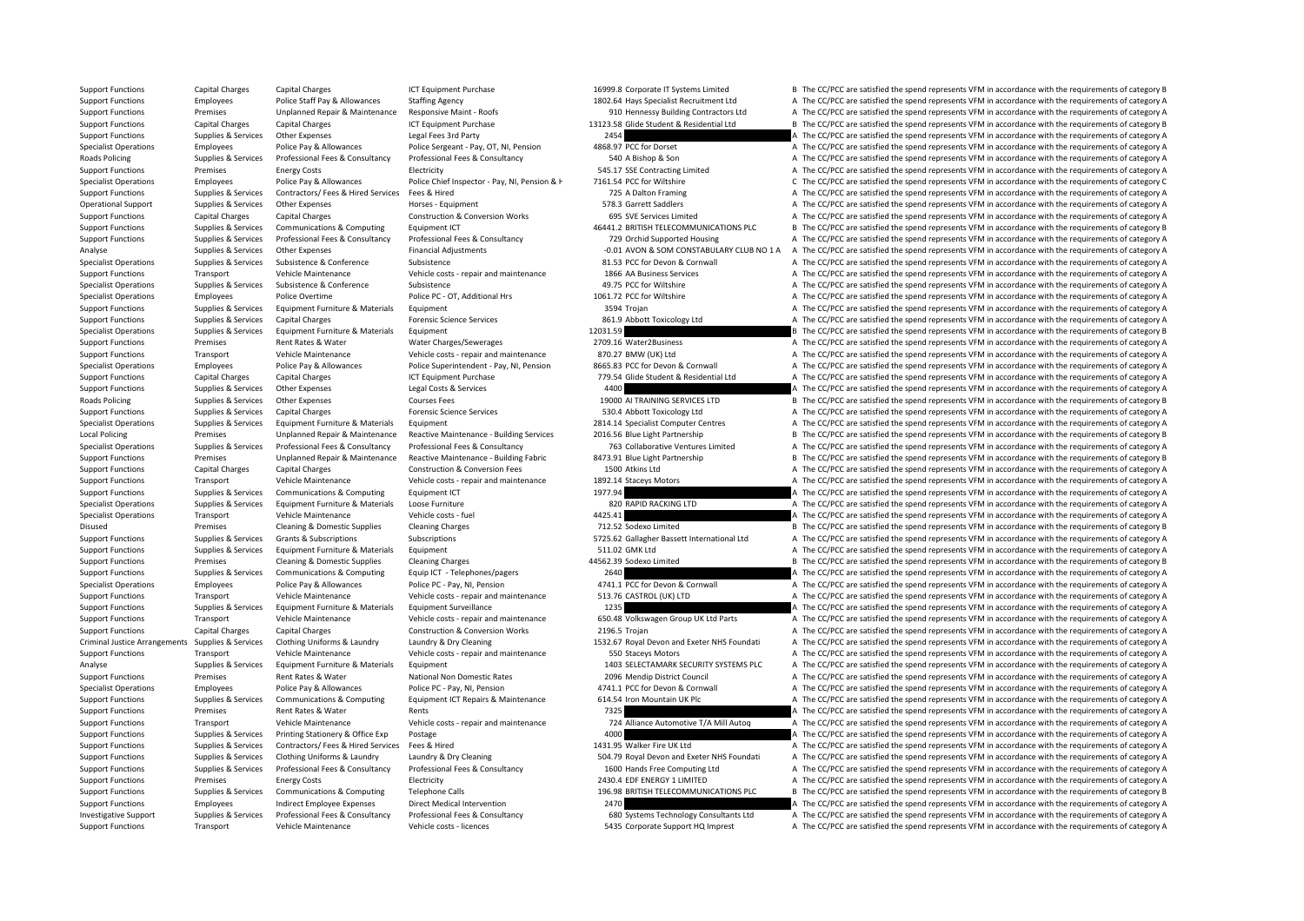Support Functions Capital Charges Capital Charges ICT Equipment Purchase 1699.8 Corporate IT Systems Limited B The CC/PCC are satisfied the spend represents VFM in accordance with the requirements of category B Support Functions Employees Police Staff Pay & Allowances Staffing Agency 1802.64 Hays Specialist Recruitment Ltd A The CC/PCC are satisfied the spend represents VFM in accordance with the requirements of category A Support Functions Premises Unplanned Repair & Maintenance Responsive Maint - Roofs 910 Hennessy Building Contractors Ltd A The CC/PCC are satisfied the spend represents VFM in accordance with the requirements of category A Support Functions Capital Charges Capital Charges ICT Equipment Purchase 13123.58 Glide Student & Residential Ltd B The CC/PCC are satisfied the spend represents VFM in accordance with the requirements of category B Support Functions Supplies & Services Other Expenses Legal Fees 3rd Party 2454 2454 A The CC/PCC are satisfied the spend represents VFM in accordance with the requirements of category A Specialist Operations Employees Police Pay & Allowances Police Sergeant - Pay, OT, NI, Pension 4868.97 PCC for Dorset A The CC/PCC are satisfied the spend represents VFM in accordance with the requirements of category A Roads Policing Supplies & Services Professional Fees & Consultancy Professional Fees & Consultancy Professional Fees & Consultancy Professional Fees & Consultancy Professional Fees & Consultancy 540 A Bishop & Son A The CC Support Functions Premises Finergy Costs Functions Electricity Function and the COST optical Contracting Limited A The CC/PCC are satisfied the spend represents VFM in accordance with the requirements of category A Specialist Operations Employees Police Pay & Allowances Police Chief Inspector - Pay, NI, Pension & H 7161.54 PCC for Wiltshire Chief May and the CC/PCC are satisfied the spend represents VFM in accordance with the require Support Functions Supplies & Services Contractors/ Fees & Hired Services Fees & Hired Mexical A The CC/PCC are satisfied the spend represents VFM in accordance with the requirements of category A Operational Support Supplies & Services Other Expenses Horses - Equipment Horses - Equipment 578.3 Garrett Saddlers A The CC/PCC are satisfied the spend represents VFM in accordance with the requirements of category A Support Functions Capital Charges Capital Charges Construction & Conversion Works 695 SVE Services Limited A The CC/PCC are satisfied the spend represents VFM in accordance with the requirements of category A Support Functions Supplies & Services Communications & Computing Equipment ICT 46441.2 BRITISH TELECOMMUNICATIONS PLC B The CC/PCC are satisfied the spend represents VFM in accordance with the requirements of category B Support Functions Supporters Supporters Services Professional Fees & Consultancy Professional Fees & Consultancy Professional Fees & Consultancy Professional Fees & Consultancy Professional Fees & Consultancy Professional Analyse Supplies & Services Other Expenses Financial Adjustments Financial Adjustments – 0.01 AVON & SOM CONSTABULARY CLUB NO 1 A A The CC/PCC are satisfied the spend represents VFM in accordance with the requirements of c Specialist Operations Supplies & Services Subsistence Subsistence Subsistence Subsistence Subsistence Subsistence Subsistence Subsistence Subsistence Subsistence Subsistence Subsistence Subsistence Subsistence Subsistence Support Functions Transport Vehicle Maintenance Vehicle costs - repair and maintenance 1866 AA Business Services A The CC/PCC are satisfied the spend represents VFM in accordance with the requirements of category A Specialist Operations Supplies & Services Subsistence & Conference Subsistence Subsistence A Conference A Conference A Conference Subsistence A Conference Subsistence a Subsistence A Conference A Conference A Conference A Specialist Operations Employees Police Overtime Police PC - OT, Additional Hrs 1061.72 PCC for Wiltshire A The CC/PCC are satisfied the spend represents VFM in accordance with the requirements of category A Support Functions Supplies & Services Foulpment Furniture & Materials Foulpment 3594 Troian 3594 Troian A The CC/PCC are satisfied the spend represents VFM in accordance with the requirements of category A Support Functions Supplies & Services Capital Charges Forensic Science Services 861.9 Abbott Toxicology Ltd A The CC/PCC are satisfied the spend represents VFM in accordance with the requirements of category A Specialist Operations Supplies & Services Equipment Furniture & Materials Equipment 12031.59 B The CC/PCC are satisfied the spend represents VFM in accordance with the requirements of category B Support Functions Premises Rent Rates & Water Water Charges/Sewerages 2709.16 Water2Business A The CC/PCC are satisfied the spend represents VFM in accordance with the requirements of category A Support Functions Transport Vehicle Maintenance Vehicle costs repair and maintenance 870.27 BMW (UK) I td A The CC/PCC are satisfied the spend represents VFM in accordance with the requirements of category A Specialist Operations Employees Police Pay & Allowances Police Superintendent - Pay, NI. Pension 8665.83 PCC for Devon & Cornwall A The CC/PCC are satisfied the spend represents VFM in accordance with the requirements of c Support Functions Capital Charges Capital Charges ICT Equipment Purchase 779.54 Glide Student & Residential Ltd A The CC/PCC are satisfied the spend represents VFM in accordance with the requirements of category A Support Functions Supplies & Services Other Expenses Legal Costs & Services 4400 A The CC/PCC are satisfied the spend represents VFM in accordance with the requirements of category A Roads Policing Supplies & Services Other Expenses Courses Fees Courses Fees 19000 AI TRAINING SERVICES LTD B The CC/PCC are satisfied the spend represents VFM in accordance with the requirements of category B Support Functions Supplies & Services Capital Charges Forensic Science Services 530.4 Abbott Toxicology Ltd A The CC/PCC are satisfied the spend represents VFM in accordance with the requirements of category A Specialist Operations Supplies & Services Equipment Furniture & Materials Equipment 2814.14 Specialist Computer Centres A The CC/PCC are satisfied the spend represents VFM in accordance with the requirements of category A Local Policing Premises Unplanned Repair & Maintenance Reactive Maintenance - Building Services 2016.56 Blue Light Partnership B The CC/PCC are satisfied the spend represents VFM in accordance with the requirements of cate Suppliers & Suppliers & Services Professional Fees & Consultancy Professional Fees & Consultancy Professional Fees & Consultancy Professional Fees & Consultancy 263 Collaborative Ventures Limited A The CC/PCC are satisfied Support Functions Premises Unplanned Repair & Maintenance Reactive Maintenance - Building Fabric 8473.91 Blue Light Partnership B The CC/PCC are satisfied the spend represents VFM in accordance with the requirements of cat Support Functions Capital Charges Capital Charges Construction & Conversion Fees 1500 Atkins Ltd A The CC/PCC are satisfied the spend represents VFM in accordance with the requirements of category A Support Functions Transport Vehicle Maintenance Vehicle costs - repair and maintenance 1892.14 Staceys Motors A The CC/PCC are satisfied the spend represents VFM in accordance with the requirements of category A Support Functions Supplies & Services Communications & Computing Equipment ICT 1977.94 1977.94 A The CC/PCC are satisfied the spend represents VFM in accordance with the requirements of category A Specialist Operations Supplies & Services Equipment Furniture & Materials Loose Furniture 800 RAPID RACKING LTD A The CC/PCC are satisfied the spend represents VFM in accordance with the requirements of category A Specialist Operations Transport Vehicle Maintenance Vehicle costs - fuel 4425.41 4425.41 A The CC/PCC are satisfied the spend represents VFM in accordance with the requirements of category A Disused Premises Cleaning & Domestic Supplies Cleaning Charges 712.52 Sodexo Limited B The CC/PCC are satisfied the spend represents VFM in accordance with the requirements of category B Support Functions Supplies & Services Grants & Subscriptions Subscriptions Subscriptions Subscriptions Subscriptions Subscriptions Subscriptions Subscriptions Subscriptions Subscriptions Subscriptions Subscriptions Subscri Support Functions Supplies & Services Equipment Furniture & Materials Equipment Statisfies and the Statisfied the Support A The CC/PCC are satisfied the spend represents VFM in accordance with the requirements of category Support Functions Premises Cleaning & Domestic Supplies Cleaning Charges 44562.39 Sodexo Limited B The CC/PCC are satisfied the spend represents VFM in accordance with the requirements of category B Support Functions Supplies & Services Communications & Computing Equip ICT - Telephones/pagers 2640 2640 A The CC/PCC are satisfied the spend represents VFM in accordance with the requirements of category A Specialist Operations Employees Police Pay & Allowances Police PC - Pay, NI, Pension 4741.1 PCC for Devon & Cornwall A The CC/PCC are satisfied the spend represents VFM in accordance with the requirements of category A Support Functions Transport Vehicle Maintenance Vehicle costs - repair and maintenance 513.76 CASTROL (UK) LTD A The CC/PCC are satisfied the spend represents VFM in accordance with the requirements of category A Support Functions Supplies & Services Equipment Furniture & Materials Equipment Surveillance 1235 1235 A The CC/PCC are satisfied the spend represents VFM in accordance with the requirements of category A Support Functions Transport Vehicle Maintenance Vehicle Costs - repair and maintenance C550.48 Volkswagen Group UK Ltd Parts Transport and represents VFM in accordance with the requirements of category A Support Functions Capital Charges Capital Charges Construction & Conversion Works 2196.5 Trojan A The CC/PCC are satisfied the spend represents VFM in accordance with the requirements of category A Criminal Justice Arrangements Supplies & Services Clothing Uniforms & Laundry Laundry & Dry Cleaning 1532.67 Royal Devon and Exeter NHS Foundati A The CC/PCC are satisfied the spend represents VFM in accordance with the re Support Functions Transport Vehicle Maintenance Vehicle costs - repair and maintenance 550 Staceys Motors A The CC/PCC are satisfied the spend represents VFM in accordance with the requirements of category A Analyse Supplies & Services Equipment Furniture & Materials Equipment Equipment and the Supplies Analyse Supplies and Selection of the Supplies A The CC/PCC are satisfied the spend represents VFM in accordance with the req Support Functions Premises Rent Rates & Water National Non Domestic Rates 2096 Mendip District Council A The CC/PCC are satisfied the spend represents VFM in accordance with the requirements of category A Specialist Operations Employees Police Pay & Allowances Police PC - Pay, NI, Pension 4741.1 PCC for Devon & Cornwall A The CC/PCC are satisfied the spend represents VFM in accordance with the requirements of category A Support Functions Supplies & Services Communications & Computing Equipment ICT Repairs & Maintenance 614.54 Iron Mountain UK PIc A The CC/PCC are satisfied the spend represents VFM in accordance with the requirements of ca Support Functions Premises Rent Rates & Water Rents Rents Rents Rents Rents Rents 7325 A The CC/PCC are satisfied the spend represents VFM in accordance with the requirements of category A Support Functions Transport Vehic Support Functions Transport Vehicle Maintenance Vehicle Costs - repair and maintenance 724 Alliance Automotive T/A Mill Autoq A The CC/PCC are satisfied the spend represents VFM in accordance with the requirements of categ Support Functions Supplies & Services Printing Stationery & Office Exp Postage 4000 4000 A The CC/PCC are satisfied the spend represents VFM in accordance with the requirements of category A Support Functions Supplies & Services Contractors/ Fees & Hired Services Fees & Hired 1431.95 Walker Fire UK Ltd A The CC/PCC are satisfied the spend represents VFM in accordance with the requirements of category A Support Functions Supplies & Services Clothing Uniforms & Laundry Laundry & Dry Cleaning Support and Support and Exeter NHS Foundati A The CC/PCC are satisfied the spend represents VFM in accordance with the requirements o Support Functions Support Support Support Professional Fees & Consultancy Professional Fees & Consultancy Professional Fees & Consultancy Professional Fees & Consultancy 1600 Hands Free Computing Itd A The CC/PCC are satis Support Functions Premises Premises Energy Costs Electricity Electricity Electricity Electricity Electricity and the Support Electricity and the CC/PCC are satisfied the spend represents VFM in accordance with the requirem Support Functions Supplies & Services Communications & Computing Telephone Calls 196.98 BRITISH TELECOMMUNICATIONS PLC B The CC/PCC are satisfied the spend represents VFM in accordance with the requirements of category B Support Functions Employees Indirect Employee Expenses Direct Medical Intervention 2470 2470 A The CC/PCC are satisfied the spend represents VFM in accordance with the requirements of category A Investigative Support Support Supporters & Services Professional Fees & Consultancy Professional Fees & Consultancy Professional Fees & Consultancy Professional Fees & Consultancy Professional Fees & Consultancy Profession Support Functions Transport Vehicle Maintenance Vehicle costs - licences 5435 Corporate Support HQ Imprest A The CC/PCC are satisfied the spend represents VFM in accordance with the requirements of category A